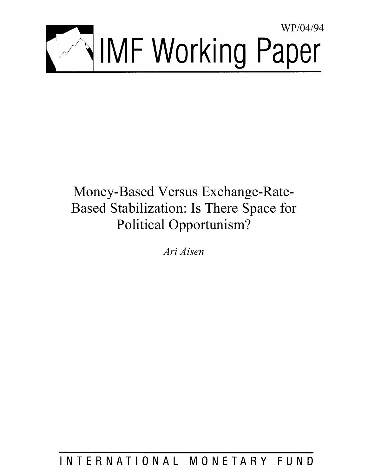

# Money-Based Versus Exchange-Rate-Based Stabilization: Is There Space for Political Opportunism?

*Ari Aisen* 

INTERNATIONAL MONETARY FUND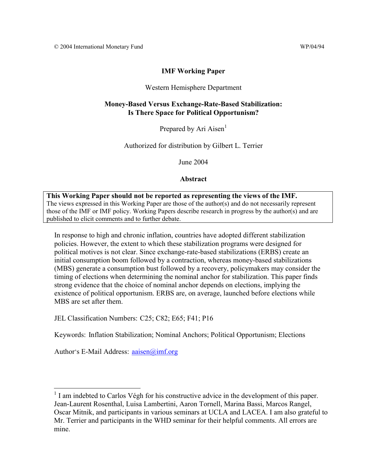# **IMF Working Paper**

# Western Hemisphere Department

# **Money-Based Versus Exchange-Rate-Based Stabilization: Is There Space for Political Opportunism?**

Prepared by Ari Aisen<sup>1</sup>

Authorized for distribution by Gilbert L. Terrier

June 2004

**Abstract**

**This Working Paper should not be reported as representing the views of the IMF.** The views expressed in this Working Paper are those of the author(s) and do not necessarily represent those of the IMF or IMF policy. Working Papers describe research in progress by the author(s) and are published to elicit comments and to further debate.

In response to high and chronic inflation, countries have adopted different stabilization policies. However, the extent to which these stabilization programs were designed for political motives is not clear. Since exchange-rate-based stabilizations (ERBS) create an initial consumption boom followed by a contraction, whereas money-based stabilizations (MBS) generate a consumption bust followed by a recovery, policymakers may consider the timing of elections when determining the nominal anchor for stabilization. This paper finds strong evidence that the choice of nominal anchor depends on elections, implying the existence of political opportunism. ERBS are, on average, launched before elections while MBS are set after them.

JEL Classification Numbers: C25; C82; E65; F41; P16

Keywords: Inflation Stabilization; Nominal Anchors; Political Opportunism; Elections

Author's E-Mail Address: aaisen@imf.org

<sup>&</sup>lt;sup>1</sup> I am indebted to Carlos Végh for his constructive advice in the development of this paper. Jean-Laurent Rosenthal, Luisa Lambertini, Aaron Tornell, Marina Bassi, Marcos Rangel, Oscar Mitnik, and participants in various seminars at UCLA and LACEA. I am also grateful to Mr. Terrier and participants in the WHD seminar for their helpful comments. All errors are mine.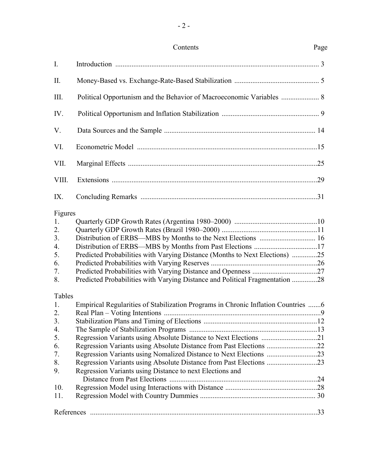| Contents | Page |
|----------|------|
|          |      |

| $I_{\cdot}$    |                                                                                   |  |
|----------------|-----------------------------------------------------------------------------------|--|
| II.            |                                                                                   |  |
| III.           | Political Opportunism and the Behavior of Macroeconomic Variables  8              |  |
| IV.            |                                                                                   |  |
| V.             |                                                                                   |  |
| VI.            |                                                                                   |  |
| VII.           |                                                                                   |  |
| VIII.          |                                                                                   |  |
| IX.            |                                                                                   |  |
| Figures        |                                                                                   |  |
| 1.             |                                                                                   |  |
| 2.             |                                                                                   |  |
| 3.             | Distribution of ERBS—MBS by Months to the Next Elections  16                      |  |
| 4.             |                                                                                   |  |
| 5.             | Predicted Probabilities with Varying Distance (Months to Next Elections) 25       |  |
| 6.             |                                                                                   |  |
| 7.             |                                                                                   |  |
| 8.             | Predicted Probabilities with Varying Distance and Political Fragmentation 28      |  |
|                |                                                                                   |  |
| Tables         |                                                                                   |  |
| 1.             | Empirical Regularities of Stabilization Programs in Chronic Inflation Countries 6 |  |
| 2.             |                                                                                   |  |
| 3 <sub>1</sub> |                                                                                   |  |
| 4.             |                                                                                   |  |
| 5.             | Regression Variants using Absolute Distance to Next Elections 21                  |  |
| 6.             | Regression Variants using Absolute Distance from Past Elections 22                |  |
| 7.             | Regression Variants using Nomalized Distance to Next Elections 23                 |  |
| 8.             | Regression Variants using Absolute Distance from Past Elections 23                |  |
| 9.             | Regression Variants using Distance to next Elections and                          |  |
|                |                                                                                   |  |
| 10.            |                                                                                   |  |
| 11.            |                                                                                   |  |
|                |                                                                                   |  |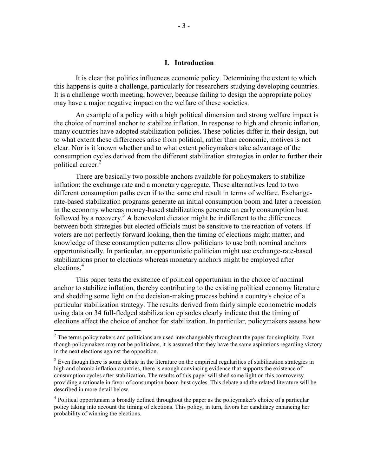## **I. Introduction**

It is clear that politics influences economic policy. Determining the extent to which this happens is quite a challenge, particularly for researchers studying developing countries. It is a challenge worth meeting, however, because failing to design the appropriate policy may have a major negative impact on the welfare of these societies.

An example of a policy with a high political dimension and strong welfare impact is the choice of nominal anchor to stabilize inflation. In response to high and chronic inflation, many countries have adopted stabilization policies. These policies differ in their design, but to what extent these differences arise from political, rather than economic, motives is not clear. Nor is it known whether and to what extent policymakers take advantage of the consumption cycles derived from the different stabilization strategies in order to further their political career. $<sup>2</sup>$ </sup>

There are basically two possible anchors available for policymakers to stabilize inflation: the exchange rate and a monetary aggregate. These alternatives lead to two different consumption paths even if to the same end result in terms of welfare. Exchangerate-based stabilization programs generate an initial consumption boom and later a recession in the economy whereas money-based stabilizations generate an early consumption bust followed by a recovery.<sup>3</sup> A benevolent dictator might be indifferent to the differences between both strategies but elected officials must be sensitive to the reaction of voters. If voters are not perfectly forward looking, then the timing of elections might matter, and knowledge of these consumption patterns allow politicians to use both nominal anchors opportunistically. In particular, an opportunistic politician might use exchange-rate-based stabilizations prior to elections whereas monetary anchors might be employed after elections.<sup>4</sup>

This paper tests the existence of political opportunism in the choice of nominal anchor to stabilize inflation, thereby contributing to the existing political economy literature and shedding some light on the decision-making process behind a country's choice of a particular stabilization strategy. The results derived from fairly simple econometric models using data on 34 full-fledged stabilization episodes clearly indicate that the timing of elections affect the choice of anchor for stabilization. In particular, policymakers assess how

 $\overline{a}$ 

 $2<sup>2</sup>$  The terms policymakers and politicians are used interchangeably throughout the paper for simplicity. Even though policymakers may not be politicians, it is assumed that they have the same aspirations regarding victory in the next elections against the opposition.

 $3$  Even though there is some debate in the literature on the empirical regularities of stabilization strategies in high and chronic inflation countries, there is enough convincing evidence that supports the existence of consumption cycles after stabilization. The results of this paper will shed some light on this controversy providing a rationale in favor of consumption boom-bust cycles. This debate and the related literature will be described in more detail below.

<sup>&</sup>lt;sup>4</sup> Political opportunism is broadly defined throughout the paper as the policymaker's choice of a particular policy taking into account the timing of elections. This policy, in turn, favors her candidacy enhancing her probability of winning the elections.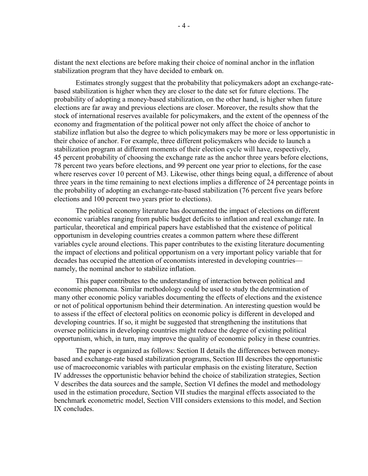distant the next elections are before making their choice of nominal anchor in the inflation stabilization program that they have decided to embark on.

Estimates strongly suggest that the probability that policymakers adopt an exchange-ratebased stabilization is higher when they are closer to the date set for future elections. The probability of adopting a money-based stabilization, on the other hand, is higher when future elections are far away and previous elections are closer. Moreover, the results show that the stock of international reserves available for policymakers, and the extent of the openness of the economy and fragmentation of the political power not only affect the choice of anchor to stabilize inflation but also the degree to which policymakers may be more or less opportunistic in their choice of anchor. For example, three different policymakers who decide to launch a stabilization program at different moments of their election cycle will have, respectively, 45 percent probability of choosing the exchange rate as the anchor three years before elections, 78 percent two years before elections, and 99 percent one year prior to elections, for the case where reserves cover 10 percent of M3. Likewise, other things being equal, a difference of about three years in the time remaining to next elections implies a difference of 24 percentage points in the probability of adopting an exchange-rate-based stabilization (76 percent five years before elections and 100 percent two years prior to elections).

The political economy literature has documented the impact of elections on different economic variables ranging from public budget deficits to inflation and real exchange rate. In particular, theoretical and empirical papers have established that the existence of political opportunism in developing countries creates a common pattern where these different variables cycle around elections. This paper contributes to the existing literature documenting the impact of elections and political opportunism on a very important policy variable that for decades has occupied the attention of economists interested in developing countries namely, the nominal anchor to stabilize inflation.

This paper contributes to the understanding of interaction between political and economic phenomena. Similar methodology could be used to study the determination of many other economic policy variables documenting the effects of elections and the existence or not of political opportunism behind their determination. An interesting question would be to assess if the effect of electoral politics on economic policy is different in developed and developing countries. If so, it might be suggested that strengthening the institutions that oversee politicians in developing countries might reduce the degree of existing political opportunism, which, in turn, may improve the quality of economic policy in these countries.

The paper is organized as follows: Section II details the differences between moneybased and exchange-rate based stabilization programs, Section III describes the opportunistic use of macroeconomic variables with particular emphasis on the existing literature, Section IV addresses the opportunistic behavior behind the choice of stabilization strategies, Section V describes the data sources and the sample, Section VI defines the model and methodology used in the estimation procedure, Section VII studies the marginal effects associated to the benchmark econometric model, Section VIII considers extensions to this model, and Section IX concludes.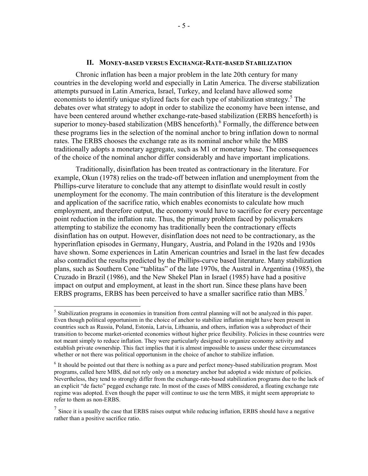#### **II. MONEY-BASED VERSUS EXCHANGE-RATE-BASED STABILIZATION**

Chronic inflation has been a major problem in the late 20th century for many countries in the developing world and especially in Latin America. The diverse stabilization attempts pursued in Latin America, Israel, Turkey, and Iceland have allowed some economists to identify unique stylized facts for each type of stabilization strategy.<sup>5</sup> The debates over what strategy to adopt in order to stabilize the economy have been intense, and have been centered around whether exchange-rate-based stabilization (ERBS henceforth) is superior to money-based stabilization (MBS henceforth).<sup>6</sup> Formally, the difference between these programs lies in the selection of the nominal anchor to bring inflation down to normal rates. The ERBS chooses the exchange rate as its nominal anchor while the MBS traditionally adopts a monetary aggregate, such as M1 or monetary base. The consequences of the choice of the nominal anchor differ considerably and have important implications.

Traditionally, disinflation has been treated as contractionary in the literature. For example, Okun (1978) relies on the trade-off between inflation and unemployment from the Phillips-curve literature to conclude that any attempt to disinflate would result in costly unemployment for the economy. The main contribution of this literature is the development and application of the sacrifice ratio, which enables economists to calculate how much employment, and therefore output, the economy would have to sacrifice for every percentage point reduction in the inflation rate. Thus, the primary problem faced by policymakers attempting to stabilize the economy has traditionally been the contractionary effects disinflation has on output. However, disinflation does not need to be contractionary, as the hyperinflation episodes in Germany, Hungary, Austria, and Poland in the 1920s and 1930s have shown. Some experiences in Latin American countries and Israel in the last few decades also contradict the results predicted by the Phillips-curve based literature. Many stabilization plans, such as Southern Cone "tablitas" of the late 1970s, the Austral in Argentina (1985), the Cruzado in Brazil (1986), and the New Shekel Plan in Israel (1985) have had a positive impact on output and employment, at least in the short run. Since these plans have been ERBS programs, ERBS has been perceived to have a smaller sacrifice ratio than MBS.<sup>7</sup>

1

<sup>&</sup>lt;sup>5</sup> Stabilization programs in economies in transition from central planning will not be analyzed in this paper. Even though political opportunism in the choice of anchor to stabilize inflation might have been present in countries such as Russia, Poland, Estonia, Latvia, Lithuania, and others, inflation was a subproduct of their transition to become market-oriented economies without higher price flexibility. Policies in these countries were not meant simply to reduce inflation. They were particularly designed to organize economy activity and establish private ownership. This fact implies that it is almost impossible to assess under these circumstances whether or not there was political opportunism in the choice of anchor to stabilize inflation.

<sup>6</sup> It should be pointed out that there is nothing as a pure and perfect money-based stabilization program. Most programs, called here MBS, did not rely only on a monetary anchor but adopted a wide mixture of policies. Nevertheless, they tend to strongly differ from the exchange-rate-based stabilization programs due to the lack of an explicit "de facto" pegged exchange rate. In most of the cases of MBS considered, a floating exchange rate regime was adopted. Even though the paper will continue to use the term MBS, it might seem appropriate to refer to them as non-ERBS.

 $<sup>7</sup>$  Since it is usually the case that ERBS raises output while reducing inflation, ERBS should have a negative</sup> rather than a positive sacrifice ratio.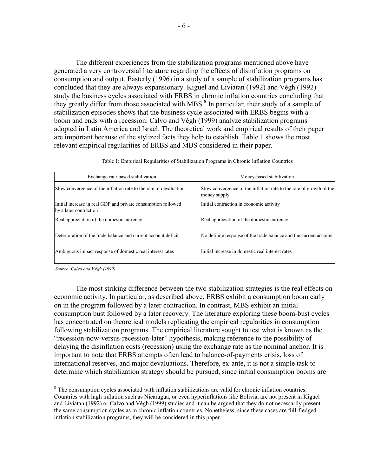The different experiences from the stabilization programs mentioned above have generated a very controversial literature regarding the effects of disinflation programs on consumption and output. Easterly (1996) in a study of a sample of stabilization programs has concluded that they are always expansionary. Kiguel and Liviatan (1992) and Végh (1992) study the business cycles associated with ERBS in chronic inflation countries concluding that they greatly differ from those associated with MBS.<sup>8</sup> In particular, their study of a sample of stabilization episodes shows that the business cycle associated with ERBS begins with a boom and ends with a recession. Calvo and Végh (1999) analyze stabilization programs adopted in Latin America and Israel. The theoretical work and empirical results of their paper are important because of the stylized facts they help to establish. Table 1 shows the most relevant empirical regularities of ERBS and MBS considered in their paper.

Table 1: Empirical Regularities of Stabilization Programs in Chronic Inflation Countries

| Exchange-rate-based stabilization                                                       | Money-based stabilization                                                           |
|-----------------------------------------------------------------------------------------|-------------------------------------------------------------------------------------|
| Slow convergence of the inflation rate to the rate of devaluation                       | Slow convergence of the inflation rate to the rate of growth of the<br>money supply |
| Initial increase in real GDP and private consumption followed<br>by a later contraction | Initial contraction in economic activity                                            |
| Real appreciation of the domestic currency                                              | Real appreciation of the domestic currency                                          |
| Deterioration of the trade balance and current account deficit                          | No definite response of the trade balance and the current account                   |
| Ambiguous impact response of domestic real interest rates                               | Initial increase in domestic real interest rates                                    |

*Source: Calvo and V* é*gh (1999)*

<u>.</u>

The most striking difference between the two stabilization strategies is the real effects on economic activity. In particular, as described above, ERBS exhibit a consumption boom early on in the program followed by a later contraction. In contrast, MBS exhibit an initial consumption bust followed by a later recovery. The literature exploring these boom-bust cycles has concentrated on theoretical models replicating the empirical regularities in consumption following stabilization programs. The empirical literature sought to test what is known as the "recession-now-versus-recession-later" hypothesis, making reference to the possibility of delaying the disinflation costs (recession) using the exchange rate as the nominal anchor. It is important to note that ERBS attempts often lead to balance-of-payments crisis, loss of international reserves, and major devaluations. Therefore, ex-ante, it is not a simple task to determine which stabilization strategy should be pursued, since initial consumption booms are

<sup>&</sup>lt;sup>8</sup> The consumption cycles associated with inflation stabilizations are valid for chronic inflation countries. Countries with high inflation such as Nicaragua, or even hyperinflations like Bolivia, are not present in Kiguel and Liviatan (1992) or Calvo and Végh (1999) studies and it can be argued that they do not necessarily present the same consumption cycles as in chronic inflation countries. Nonetheless, since these cases are full-fledged inflation stabilization programs, they will be considered in this paper.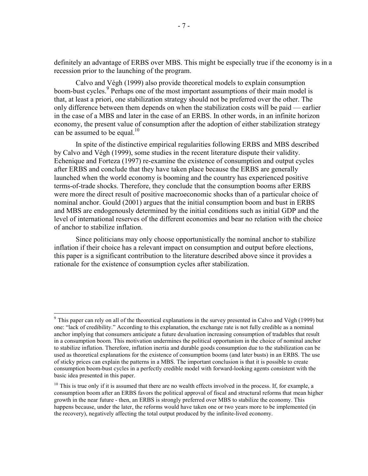definitely an advantage of ERBS over MBS. This might be especially true if the economy is in a recession prior to the launching of the program.

Calvo and Végh (1999) also provide theoretical models to explain consumption boom-bust cycles.<sup>9</sup> Perhaps one of the most important assumptions of their main model is that, at least a priori, one stabilization strategy should not be preferred over the other. The only difference between them depends on when the stabilization costs will be paid — earlier in the case of a MBS and later in the case of an ERBS. In other words, in an infinite horizon economy, the present value of consumption after the adoption of either stabilization strategy can be assumed to be equal.<sup>10</sup>

In spite of the distinctive empirical regularities following ERBS and MBS described by Calvo and Végh (1999), some studies in the recent literature dispute their validity. Echenique and Forteza (1997) re-examine the existence of consumption and output cycles after ERBS and conclude that they have taken place because the ERBS are generally launched when the world economy is booming and the country has experienced positive terms-of-trade shocks. Therefore, they conclude that the consumption booms after ERBS were more the direct result of positive macroeconomic shocks than of a particular choice of nominal anchor. Gould (2001) argues that the initial consumption boom and bust in ERBS and MBS are endogenously determined by the initial conditions such as initial GDP and the level of international reserves of the different economies and bear no relation with the choice of anchor to stabilize inflation.

Since politicians may only choose opportunistically the nominal anchor to stabilize inflation if their choice has a relevant impact on consumption and output before elections, this paper is a significant contribution to the literature described above since it provides a rationale for the existence of consumption cycles after stabilization.

 $\overline{a}$ 

<sup>&</sup>lt;sup>9</sup> This paper can rely on all of the theoretical explanations in the survey presented in Calvo and Végh (1999) but one: "lack of credibility." According to this explanation, the exchange rate is not fully credible as a nominal anchor implying that consumers anticipate a future devaluation increasing consumption of tradables that result in a consumption boom. This motivation undermines the political opportunism in the choice of nominal anchor to stabilize inflation. Therefore, inflation inertia and durable goods consumption due to the stabilization can be used as theoretical explanations for the existence of consumption booms (and later busts) in an ERBS. The use of sticky prices can explain the patterns in a MBS. The important conclusion is that it is possible to create consumption boom-bust cycles in a perfectly credible model with forward-looking agents consistent with the basic idea presented in this paper.

 $10$  This is true only if it is assumed that there are no wealth effects involved in the process. If, for example, a consumption boom after an ERBS favors the political approval of fiscal and structural reforms that mean higher growth in the near future - then, an ERBS is strongly preferred over MBS to stabilize the economy. This happens because, under the later, the reforms would have taken one or two years more to be implemented (in the recovery), negatively affecting the total output produced by the infinite-lived economy.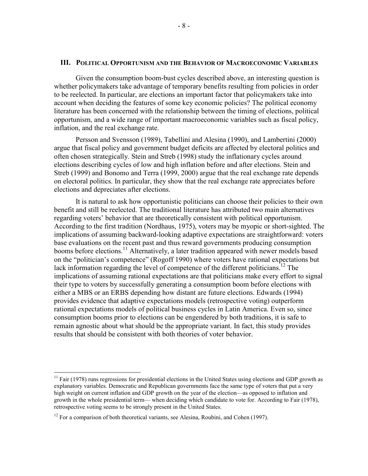#### **III. POLITICAL OPPORTUNISM AND THE BEHAVIOR OF MACROECONOMIC VARIABLES**

Given the consumption boom-bust cycles described above, an interesting question is whether policymakers take advantage of temporary benefits resulting from policies in order to be reelected. In particular, are elections an important factor that policymakers take into account when deciding the features of some key economic policies? The political economy literature has been concerned with the relationship between the timing of elections, political opportunism, and a wide range of important macroeconomic variables such as fiscal policy, inflation, and the real exchange rate.

Persson and Svensson (1989), Tabellini and Alesina (1990), and Lambertini (2000) argue that fiscal policy and government budget deficits are affected by electoral politics and often chosen strategically. Stein and Streb (1998) study the inflationary cycles around elections describing cycles of low and high inflation before and after elections. Stein and Streb (1999) and Bonomo and Terra (1999, 2000) argue that the real exchange rate depends on electoral politics. In particular, they show that the real exchange rate appreciates before elections and depreciates after elections.

It is natural to ask how opportunistic politicians can choose their policies to their own benefit and still be reelected. The traditional literature has attributed two main alternatives regarding voters' behavior that are theoretically consistent with political opportunism. According to the first tradition (Nordhaus, 1975), voters may be myopic or short-sighted. The implications of assuming backward-looking adaptive expectations are straightforward: voters base evaluations on the recent past and thus reward governments producing consumption booms before elections.<sup>11</sup> Alternatively, a later tradition appeared with newer models based on the "politician's competence" (Rogoff 1990) where voters have rational expectations but lack information regarding the level of competence of the different politicians.<sup>12</sup> The implications of assuming rational expectations are that politicians make every effort to signal their type to voters by successfully generating a consumption boom before elections with either a MBS or an ERBS depending how distant are future elections. Edwards (1994) provides evidence that adaptive expectations models (retrospective voting) outperform rational expectations models of political business cycles in Latin America. Even so, since consumption booms prior to elections can be engendered by both traditions, it is safe to remain agnostic about what should be the appropriate variant. In fact, this study provides results that should be consistent with both theories of voter behavior.

1

 $11$  Fair (1978) runs regressions for presidential elections in the United States using elections and GDP growth as explanatory variables. Democratic and Republican governments face the same type of voters that put a very high weight on current inflation and GDP growth on the year of the election—as opposed to inflation and growth in the whole presidential term— when deciding which candidate to vote for. According to Fair (1978), retrospective voting seems to be strongly present in the United States.

 $12$  For a comparison of both theoretical variants, see Alesina, Roubini, and Cohen (1997).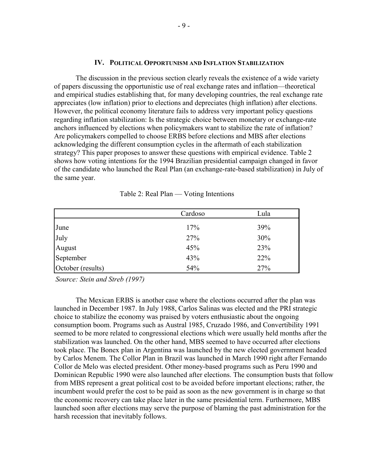#### **IV. POLITICAL OPPORTUNISM AND INFLATION STABILIZATION**

The discussion in the previous section clearly reveals the existence of a wide variety of papers discussing the opportunistic use of real exchange rates and inflation—theoretical and empirical studies establishing that, for many developing countries, the real exchange rate appreciates (low inflation) prior to elections and depreciates (high inflation) after elections. However, the political economy literature fails to address very important policy questions regarding inflation stabilization: Is the strategic choice between monetary or exchange-rate anchors influenced by elections when policymakers want to stabilize the rate of inflation? Are policymakers compelled to choose ERBS before elections and MBS after elections acknowledging the different consumption cycles in the aftermath of each stabilization strategy? This paper proposes to answer these questions with empirical evidence. Table 2 shows how voting intentions for the 1994 Brazilian presidential campaign changed in favor of the candidate who launched the Real Plan (an exchange-rate-based stabilization) in July of the same year.

|                                                          | Cardoso | Lula |
|----------------------------------------------------------|---------|------|
|                                                          | 17%     | 39%  |
|                                                          | 27%     | 30%  |
|                                                          | 45%     | 23%  |
|                                                          | 43%     | 22%  |
| June<br>July<br>August<br>September<br>October (results) | 54%     | 27%  |

Table 2: Real Plan — Voting Intentions

*Source: Stein and Streb (1997)*

The Mexican ERBS is another case where the elections occurred after the plan was launched in December 1987. In July 1988, Carlos Salinas was elected and the PRI strategic choice to stabilize the economy was praised by voters enthusiastic about the ongoing consumption boom. Programs such as Austral 1985, Cruzado 1986, and Convertibility 1991 seemed to be more related to congressional elections which were usually held months after the stabilization was launched. On the other hand, MBS seemed to have occurred after elections took place. The Bonex plan in Argentina was launched by the new elected government headed by Carlos Menem. The Collor Plan in Brazil was launched in March 1990 right after Fernando Collor de Melo was elected president. Other money-based programs such as Peru 1990 and Dominican Republic 1990 were also launched after elections. The consumption busts that follow from MBS represent a great political cost to be avoided before important elections; rather, the incumbent would prefer the cost to be paid as soon as the new government is in charge so that the economic recovery can take place later in the same presidential term. Furthermore, MBS launched soon after elections may serve the purpose of blaming the past administration for the harsh recession that inevitably follows.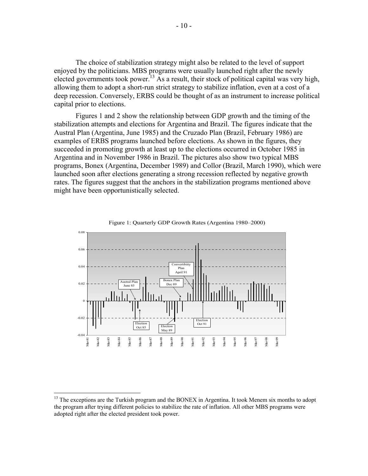The choice of stabilization strategy might also be related to the level of support enjoyed by the politicians. MBS programs were usually launched right after the newly elected governments took power.<sup>13</sup> As a result, their stock of political capital was very high, allowing them to adopt a short-run strict strategy to stabilize inflation, even at a cost of a deep recession. Conversely, ERBS could be thought of as an instrument to increase political capital prior to elections.

Figures 1 and 2 show the relationship between GDP growth and the timing of the stabilization attempts and elections for Argentina and Brazil. The figures indicate that the Austral Plan (Argentina, June 1985) and the Cruzado Plan (Brazil, February 1986) are examples of ERBS programs launched before elections. As shown in the figures, they succeeded in promoting growth at least up to the elections occurred in October 1985 in Argentina and in November 1986 in Brazil. The pictures also show two typical MBS programs, Bonex (Argentina, December 1989) and Collor (Brazil, March 1990), which were launched soon after elections generating a strong recession reflected by negative growth rates. The figures suggest that the anchors in the stabilization programs mentioned above might have been opportunistically selected.





1

 $13$  The exceptions are the Turkish program and the BONEX in Argentina. It took Menem six months to adopt the program after trying different policies to stabilize the rate of inflation. All other MBS programs were adopted right after the elected president took power.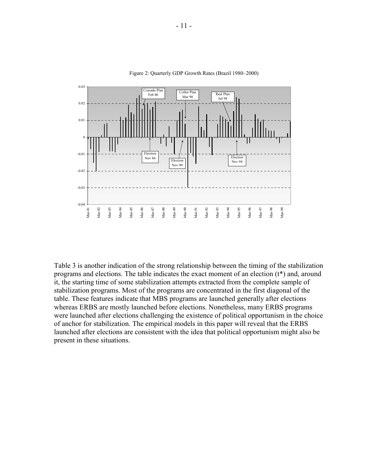

Figure 2: Quarterly GDP Growth Rates (Brazil 1980–2000)

Table 3 is another indication of the strong relationship between the timing of the stabilization programs and elections. The table indicates the exact moment of an election (t\*) and, around it, the starting time of some stabilization attempts extracted from the complete sample of stabilization programs. Most of the programs are concentrated in the first diagonal of the table. These features indicate that MBS programs are launched generally after elections whereas ERBS are mostly launched before elections. Nonetheless, many ERBS programs were launched after elections challenging the existence of political opportunism in the choice of anchor for stabilization. The empirical models in this paper will reveal that the ERBS launched after elections are consistent with the idea that political opportunism might also be present in these situations.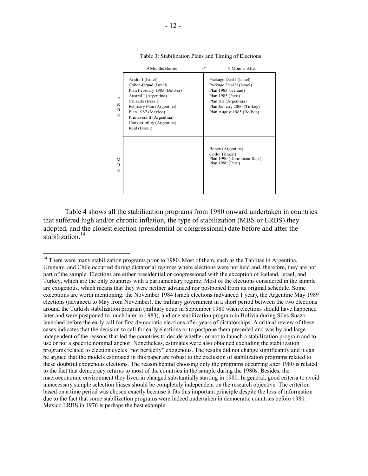|                  | 9 Months Before                                                                                                                                                                                                                                      | $t^*$ | 9 Months After                                                                                                                                                                    |
|------------------|------------------------------------------------------------------------------------------------------------------------------------------------------------------------------------------------------------------------------------------------------|-------|-----------------------------------------------------------------------------------------------------------------------------------------------------------------------------------|
| E<br>R<br>B<br>S | Aridor I (Israel)<br>Cohen-Orgad (Israel)<br>Plan February 1985 (Bolivia)<br>Austral I (Argentina)<br>Cruzado (Brazil)<br>February Plan (Argentina)<br>Plan 1987 (Mexico)<br>Primavera II (Argentina)<br>Convertibility (Argentina)<br>Real (Brazil) |       | Package Deal I (Israel)<br>Package Deal II (Israel)<br>Plan 1983 (Iceland)<br>Plan 1985 (Peru)<br>Plan BB (Argentina)<br>Plan January 2000 (Turkey)<br>Plan August 1985 (Bolivia) |
| M<br>B<br>S      |                                                                                                                                                                                                                                                      |       | Bonex (Argentina)<br>Collor (Brazil)<br>Plan 1990 (Dominican Rep.)<br>Plan 1990 (Peru)                                                                                            |

Table 3: Stabilization Plans and Timing of Elections

Table 4 shows all the stabilization programs from 1980 onward undertaken in countries that suffered high and/or chronic inflation, the type of stabilization (MBS or ERBS) they adopted, and the closest election (presidential or congressional) date before and after the stabilization $14$ 

<u>.</u>

 $14$  There were many stabilization programs prior to 1980. Most of them, such as the Tablitas in Argentina, Uruguay, and Chile occurred during dictatorial regimes where elections were not held and, therefore, they are not part of the sample. Elections are either presidential or congressional with the exception of Iceland, Israel, and Turkey, which are the only countries with a parliamentary regime. Most of the elections considered in the sample are exogenous, which means that they were neither advanced nor postponed from its original schedule. Some exceptions are worth mentioning: the November 1984 Israeli elections (advanced 1 year), the Argentine May 1989 elections (advanced to May from November), the military government in a short period between the two elections around the Turkish stabilization program (military coup in September 1980 when elections should have happened later and were postponed to much later in 1983), and one stabilization program in Bolivia during Siles-Suazo launched before the early call for first democratic elections after years of dictatorships. A critical review of these cases indicates that the decision to call for early elections or to postpone them preceded and was by and large independent of the reasons that led the countries to decide whether or not to launch a stabilization program and to use or not a specific nominal anchor. Nonetheless, estimates were also obtained excluding the stabilization programs related to election cycles "not perfectly" exogenous. The results did not change significantly and it can be argued that the models estimated in this paper are robust to the exclusion of stabilization programs related to these doubtful exogenous elections. The reason behind choosing only the programs occurring after 1980 is related to the fact that democracy returns to most of the countries in the sample during the 1980s. Besides, the macroeconomic environment they lived in changed substantially starting in 1980. In general, good criteria to avoid unnecessary sample selection biases should be completely independent on the research objective. The criterion based on a time period was chosen exactly because it fits this important principle despite the loss of information due to the fact that some stabilization programs were indeed undertaken in democratic countries before 1980. Mexico ERBS in 1976 is perhaps the best example.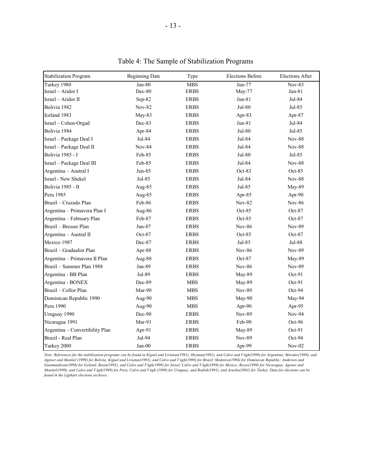| <b>Stabilization Program</b>    | <b>Beginning Date</b> | Type        | <b>Elections Before</b> | <b>Elections After</b> |
|---------------------------------|-----------------------|-------------|-------------------------|------------------------|
| Turkey 1980                     | $Jan-80$              | <b>MBS</b>  | $Jun-77$                | <b>Nov-83</b>          |
| Israel - Aridor I               | Dec-80                | <b>ERBS</b> | May-77                  | $Jun-81$               |
| Israel - Aridor II              | Sep-82                | <b>ERBS</b> | Jun-81                  | Jul-84                 |
| Bolivia 1982                    | <b>Nov-82</b>         | <b>ERBS</b> | Jul-80                  | Jul-85                 |
| Iceland 1983                    | $May-83$              | <b>ERBS</b> | Apr-83                  | Apr- $87$              |
| Israel - Cohen-Orgad            | Dec-83                | <b>ERBS</b> | Jun-81                  | Jul-84                 |
| Bolivia 1984                    | Apr-84                | <b>ERBS</b> | Jul-80                  | Jul-85                 |
| Israel - Package Deal I         | Jul-84                | <b>ERBS</b> | Jul-84                  | <b>Nov-88</b>          |
| Israel - Package Deal II        | <b>Nov-84</b>         | <b>ERBS</b> | Jul-84                  | <b>Nov-88</b>          |
| <b>Bolivia 1985 - I</b>         | Feb-85                | <b>ERBS</b> | Jul-80                  | Jul-85                 |
| Israel - Package Deal III       | Feb-85                | <b>ERBS</b> | Jul-84                  | <b>Nov-88</b>          |
| Argentina - Austral I           | $Jun-85$              | <b>ERBS</b> | $Oct-83$                | $Oct-85$               |
| Israel - New Shekel             | Jul-85                | <b>ERBS</b> | Jul-84                  | <b>Nov-88</b>          |
| Bolivia 1985 - II               | Aug-85                | <b>ERBS</b> | $Jul-85$                | May-89                 |
| Peru 1985                       | Aug-85                | <b>ERBS</b> | Apr-85                  | Apr-90                 |
| Brazil - Cruzado Plan           | Feb-86                | <b>ERBS</b> | <b>Nov-82</b>           | <b>Nov-86</b>          |
| Argentina - Primavera Plan I    | Aug-86                | <b>ERBS</b> | $Oct-85$                | $Oct-87$               |
| Argentina - February Plan       | Feb-87                | <b>ERBS</b> | Oct-85                  | $Oct-87$               |
| Brazil - Bresser Plan           | Jun-87                | <b>ERBS</b> | <b>Nov-86</b>           | <b>Nov-89</b>          |
| Argentina - Austral II          | $Oct-87$              | <b>ERBS</b> | $Oct-85$                | $Oct-87$               |
| Mexico 1987                     | Dec-87                | <b>ERBS</b> | Jul-85                  | Jul-88                 |
| Brazil - Gradualist Plan        | Apr-88                | <b>ERBS</b> | <b>Nov-86</b>           | <b>Nov-89</b>          |
| Argentina - Primavera II Plan   | Aug-88                | <b>ERBS</b> | Oct-87                  | May-89                 |
| Brazil - Summer Plan 1988       | Jan-89                | <b>ERBS</b> | <b>Nov-86</b>           | Nov-89                 |
| Argentina - BB Plan             | Jul-89                | <b>ERBS</b> | May-89                  | $Oct-91$               |
| Argentina - BONEX               | Dec-89                | <b>MBS</b>  | May-89                  | $Oct-91$               |
| Brazil - Collor Plan            | Mar-90                | <b>MBS</b>  | <b>Nov-89</b>           | Oct-94                 |
| Dominican Republic 1990         | Aug-90                | <b>MBS</b>  | May-90                  | May-94                 |
| Peru 1990                       | Aug-90                | <b>MBS</b>  | Apr-90                  | Apr-95                 |
| Uruguay 1990                    | Dec-90                | <b>ERBS</b> | <b>Nov-89</b>           | <b>Nov-94</b>          |
| Nicaragua 1991                  | Mar-91                | <b>ERBS</b> | Feb-90                  | Oct-96                 |
| Argentina - Convertibility Plan | Apr-91                | <b>ERBS</b> | May-89                  | Oct-91                 |
| Brazil - Real Plan              | Jul-94                | <b>ERBS</b> | <b>Nov-89</b>           | Oct-94                 |
| Turkey 2000                     | Jan-00                | <b>ERBS</b> | Apr-99                  | $Nov-02$               |

Table 4: The Sample of Stabilization Programs

*Note: References for the stabilization programs can be found in Kiguel and Liviatan(1991), Heyman(1991), and Calvo and V* é*gh(1999) for Argentina; Morales(1988), and Agenor and Montiel (1999) for Bolivia; Kiguel and Liviatan(1991), and Calvo and V* é*gh(1999) for Brazil; Medeiros(1994) for Dominican Republic; Andersen and Guomundsson(1998) for Iceland; Razin(1991), and Calvo and V* é*gh(1999) for Israel; Calvo and V* é*gh(1999) for Mexico; Reyes(1999) for Nicaragua; Agenor and Montiel(1999), and Calvo and V* é*gh(1999) for Peru; Calvo and V* é*gh (1999) for Uruguay; and Rodrik(1991), and Aruoba(2001) for Turkey. Data for elections can be found in the Lijphart elections archives.*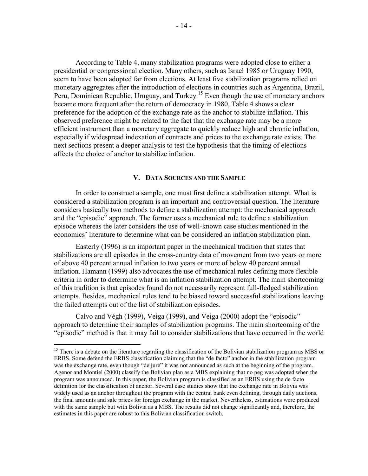According to Table 4, many stabilization programs were adopted close to either a presidential or congressional election. Many others, such as Israel 1985 or Uruguay 1990, seem to have been adopted far from elections. At least five stabilization programs relied on monetary aggregates after the introduction of elections in countries such as Argentina, Brazil, Peru, Dominican Republic, Uruguay, and Turkey.<sup>15</sup> Even though the use of monetary anchors became more frequent after the return of democracy in 1980, Table 4 shows a clear preference for the adoption of the exchange rate as the anchor to stabilize inflation. This observed preference might be related to the fact that the exchange rate may be a more efficient instrument than a monetary aggregate to quickly reduce high and chronic inflation, especially if widespread indexation of contracts and prices to the exchange rate exists. The next sections present a deeper analysis to test the hypothesis that the timing of elections affects the choice of anchor to stabilize inflation.

## **V. DATA SOURCES AND THE SAMPLE**

In order to construct a sample, one must first define a stabilization attempt. What is considered a stabilization program is an important and controversial question. The literature considers basically two methods to define a stabilization attempt: the mechanical approach and the "episodic" approach. The former uses a mechanical rule to define a stabilization episode whereas the later considers the use of well-known case studies mentioned in the economics' literature to determine what can be considered an inflation stabilization plan.

Easterly (1996) is an important paper in the mechanical tradition that states that stabilizations are all episodes in the cross-country data of movement from two years or more of above 40 percent annual inflation to two years or more of below 40 percent annual inflation. Hamann (1999) also advocates the use of mechanical rules defining more flexible criteria in order to determine what is an inflation stabilization attempt. The main shortcoming of this tradition is that episodes found do not necessarily represent full-fledged stabilization attempts. Besides, mechanical rules tend to be biased toward successful stabilizations leaving the failed attempts out of the list of stabilization episodes.

Calvo and Végh (1999), Veiga (1999), and Veiga (2000) adopt the "episodic" approach to determine their samples of stabilization programs. The main shortcoming of the "episodic" method is that it may fail to consider stabilizations that have occurred in the world

 $\overline{a}$ 

<sup>&</sup>lt;sup>15</sup> There is a debate on the literature regarding the classification of the Bolivian stabilization program as MBS or ERBS. Some defend the ERBS classification claiming that the "de facto" anchor in the stabilization program was the exchange rate, even though "de jure" it was not announced as such at the beginning of the program. Agenor and Montiel (2000) classify the Bolivian plan as a MBS explaining that no peg was adopted when the program was announced. In this paper, the Bolivian program is classified as an ERBS using the de facto definition for the classification of anchor. Several case studies show that the exchange rate in Bolivia was widely used as an anchor throughout the program with the central bank even defining, through daily auctions, the final amounts and sale prices for foreign exchange in the market. Nevertheless, estimations were produced with the same sample but with Bolivia as a MBS. The results did not change significantly and, therefore, the estimates in this paper are robust to this Bolivian classification switch.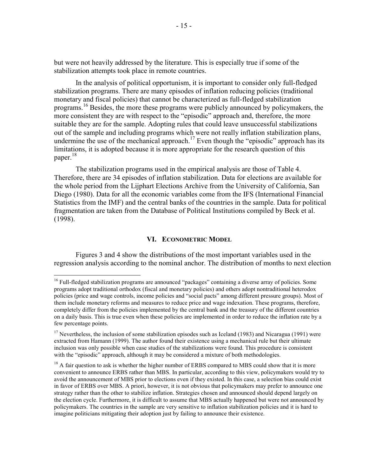but were not heavily addressed by the literature. This is especially true if some of the stabilization attempts took place in remote countries.

In the analysis of political opportunism, it is important to consider only full-fledged stabilization programs. There are many episodes of inflation reducing policies (traditional monetary and fiscal policies) that cannot be characterized as full-fledged stabilization programs.<sup>16</sup> Besides, the more these programs were publicly announced by policymakers, the more consistent they are with respect to the "episodic" approach and, therefore, the more suitable they are for the sample. Adopting rules that could leave unsuccessful stabilizations out of the sample and including programs which were not really inflation stabilization plans, undermine the use of the mechanical approach.<sup>17</sup> Even though the "episodic" approach has its limitations, it is adopted because it is more appropriate for the research question of this paper.<sup>18</sup>

The stabilization programs used in the empirical analysis are those of Table 4. Therefore, there are 34 episodes of inflation stabilization. Data for elections are available for the whole period from the Lijphart Elections Archive from the University of California, San Diego (1980). Data for all the economic variables come from the IFS (International Financial Statistics from the IMF) and the central banks of the countries in the sample. Data for political fragmentation are taken from the Database of Political Institutions compiled by Beck et al. (1998).

#### **VI. ECONOMETRIC MODEL**

Figures 3 and 4 show the distributions of the most important variables used in the regression analysis according to the nominal anchor. The distribution of months to next election

1

<sup>&</sup>lt;sup>16</sup> Full-fledged stabilization programs are announced "packages" containing a diverse array of policies. Some programs adopt traditional orthodox (fiscal and monetary policies) and others adopt nontraditional heterodox policies (price and wage controls, income policies and "social pacts" among different pressure groups). Most of them include monetary reforms and measures to reduce price and wage indexation. These programs, therefore, completely differ from the policies implemented by the central bank and the treasury of the different countries on a daily basis. This is true even when these policies are implemented in order to reduce the inflation rate by a few percentage points.

 $17$  Nevertheless, the inclusion of some stabilization episodes such as Iceland (1983) and Nicaragua (1991) were extracted from Hamann (1999). The author found their existence using a mechanical rule but their ultimate inclusion was only possible when case studies of the stabilizations were found. This procedure is consistent with the "episodic" approach, although it may be considered a mixture of both methodologies.

<sup>&</sup>lt;sup>18</sup> A fair question to ask is whether the higher number of ERBS compared to MBS could show that it is more convenient to announce ERBS rather than MBS. In particular, according to this view, policymakers would try to avoid the announcement of MBS prior to elections even if they existed. In this case, a selection bias could exist in favor of ERBS over MBS. A priori, however, it is not obvious that policymakers may prefer to announce one strategy rather than the other to stabilize inflation. Strategies chosen and announced should depend largely on the election cycle. Furthermore, it is difficult to assume that MBS actually happened but were not announced by policymakers. The countries in the sample are very sensitive to inflation stabilization policies and it is hard to imagine politicians mitigating their adoption just by failing to announce their existence.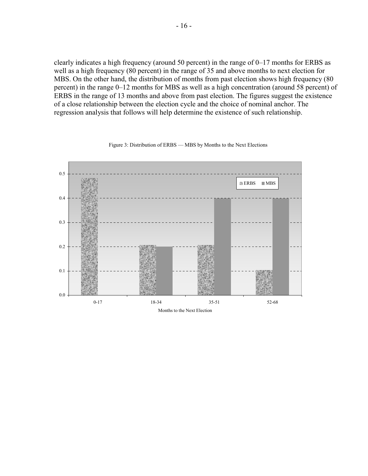clearly indicates a high frequency (around 50 percent) in the range of 0–17 months for ERBS as well as a high frequency (80 percent) in the range of 35 and above months to next election for MBS. On the other hand, the distribution of months from past election shows high frequency (80 percent) in the range 0–12 months for MBS as well as a high concentration (around 58 percent) of ERBS in the range of 13 months and above from past election. The figures suggest the existence of a close relationship between the election cycle and the choice of nominal anchor. The regression analysis that follows will help determine the existence of such relationship.



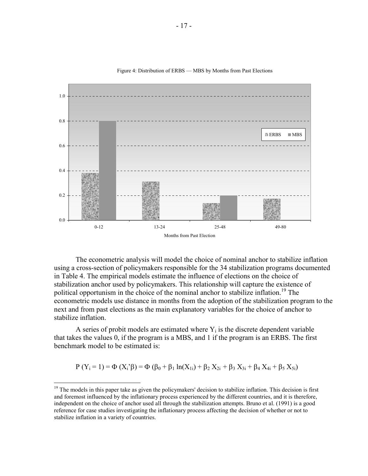

Figure 4: Distribution of ERBS — MBS by Months from Past Elections

The econometric analysis will model the choice of nominal anchor to stabilize inflation using a cross-section of policymakers responsible for the 34 stabilization programs documented in Table 4. The empirical models estimate the influence of elections on the choice of stabilization anchor used by policymakers. This relationship will capture the existence of political opportunism in the choice of the nominal anchor to stabilize inflation.<sup>19</sup> The econometric models use distance in months from the adoption of the stabilization program to the next and from past elections as the main explanatory variables for the choice of anchor to stabilize inflation.

A series of probit models are estimated where  $Y_i$  is the discrete dependent variable that takes the values 0, if the program is a MBS, and 1 if the program is an ERBS. The first benchmark model to be estimated is:

$$
P(Y_i = 1) = \Phi(X_i \hat{ }\beta) = \Phi( \beta_0 + \beta_1 \ln(X_{1i}) + \beta_2 X_{2i} + \beta_3 X_{3i} + \beta_4 X_{4i} + \beta_5 X_{5i})
$$

<u>.</u>

<sup>&</sup>lt;sup>19</sup> The models in this paper take as given the policymakers' decision to stabilize inflation. This decision is first and foremost influenced by the inflationary process experienced by the different countries, and it is therefore, independent on the choice of anchor used all through the stabilization attempts. Bruno et al. (1991) is a good reference for case studies investigating the inflationary process affecting the decision of whether or not to stabilize inflation in a variety of countries.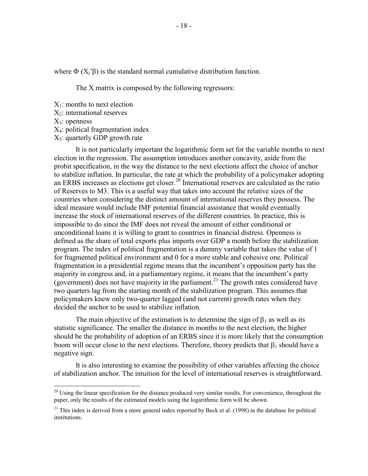where  $\Phi$  ( $X_i$ 'β) is the standard normal cumulative distribution function.

The X matrix is composed by the following regressors:

- $X_1$ : months to next election
- $X_2$ : international reserves
- $X_3$ : openness

 $\overline{a}$ 

- X4: political fragmentation index
- $X_5$ : quarterly GDP growth rate

It is not particularly important the logarithmic form set for the variable months to next election in the regression. The assumption introduces another concavity, aside from the probit specification, in the way the distance to the next elections affect the choice of anchor to stabilize inflation. In particular, the rate at which the probability of a policymaker adopting an ERBS increases as elections get closer.<sup>20</sup> International reserves are calculated as the ratio of Reserves to M3. This is a useful way that takes into account the relative sizes of the countries when considering the distinct amount of international reserves they possess. The ideal measure would include IMF potential financial assistance that would eventually increase the stock of international reserves of the different countries. In practice, this is impossible to do since the IMF does not reveal the amount of either conditional or unconditional loans it is willing to grant to countries in financial distress. Openness is defined as the share of total exports plus imports over GDP a month before the stabilization program. The index of political fragmentation is a dummy variable that takes the value of 1 for fragmented political environment and 0 for a more stable and cohesive one. Political fragmentation in a presidential regime means that the incumbent's opposition party has the majority in congress and, in a parliamentary regime, it means that the incumbent's party (government) does not have majority in the parliament.<sup>21</sup> The growth rates considered have two quarters lag from the starting month of the stabilization program. This assumes that policymakers knew only two-quarter lagged (and not current) growth rates when they decided the anchor to be used to stabilize inflation.

The main objective of the estimation is to determine the sign of  $\beta_1$  as well as its statistic significance. The smaller the distance in months to the next election, the higher should be the probability of adoption of an ERBS since it is more likely that the consumption boom will occur close to the next elections. Therefore, theory predicts that  $\beta_1$  should have a negative sign.

It is also interesting to examine the possibility of other variables affecting the choice of stabilization anchor. The intuition for the level of international reserves is straightforward.

 $^{20}$  Using the linear specification for the distance produced very similar results. For convenience, throughout the paper, only the results of the estimated models using the logarithmic form will be shown.

 $^{21}$  This index is derived from a more general index reported by Beck et al. (1998) in the database for political institutions.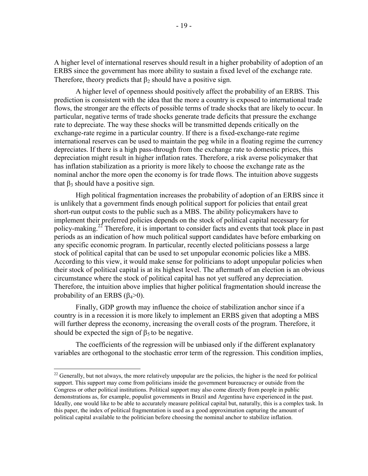A higher level of international reserves should result in a higher probability of adoption of an ERBS since the government has more ability to sustain a fixed level of the exchange rate. Therefore, theory predicts that  $\beta_2$  should have a positive sign.

A higher level of openness should positively affect the probability of an ERBS. This prediction is consistent with the idea that the more a country is exposed to international trade flows, the stronger are the effects of possible terms of trade shocks that are likely to occur. In particular, negative terms of trade shocks generate trade deficits that pressure the exchange rate to depreciate. The way these shocks will be transmitted depends critically on the exchange-rate regime in a particular country. If there is a fixed-exchange-rate regime international reserves can be used to maintain the peg while in a floating regime the currency depreciates. If there is a high pass-through from the exchange rate to domestic prices, this depreciation might result in higher inflation rates. Therefore, a risk averse policymaker that has inflation stabilization as a priority is more likely to choose the exchange rate as the nominal anchor the more open the economy is for trade flows. The intuition above suggests that  $β_3$  should have a positive sign.

High political fragmentation increases the probability of adoption of an ERBS since it is unlikely that a government finds enough political support for policies that entail great short-run output costs to the public such as a MBS. The ability policymakers have to implement their preferred policies depends on the stock of political capital necessary for policy-making.<sup>22</sup> Therefore, it is important to consider facts and events that took place in past periods as an indication of how much political support candidates have before embarking on any specific economic program. In particular, recently elected politicians possess a large stock of political capital that can be used to set unpopular economic policies like a MBS. According to this view, it would make sense for politicians to adopt unpopular policies when their stock of political capital is at its highest level. The aftermath of an election is an obvious circumstance where the stock of political capital has not yet suffered any depreciation. Therefore, the intuition above implies that higher political fragmentation should increase the probability of an ERBS  $(\beta_4>0)$ .

Finally, GDP growth may influence the choice of stabilization anchor since if a country is in a recession it is more likely to implement an ERBS given that adopting a MBS will further depress the economy, increasing the overall costs of the program. Therefore, it should be expected the sign of  $\beta_5$  to be negative.

The coefficients of the regression will be unbiased only if the different explanatory variables are orthogonal to the stochastic error term of the regression. This condition implies,

 $\overline{a}$ 

 $^{22}$  Generally, but not always, the more relatively unpopular are the policies, the higher is the need for political support. This support may come from politicians inside the government bureaucracy or outside from the Congress or other political institutions. Political support may also come directly from people in public demonstrations as, for example, populist governments in Brazil and Argentina have experienced in the past. Ideally, one would like to be able to accurately measure political capital but, naturally, this is a complex task. In this paper, the index of political fragmentation is used as a good approximation capturing the amount of political capital available to the politician before choosing the nominal anchor to stabilize inflation.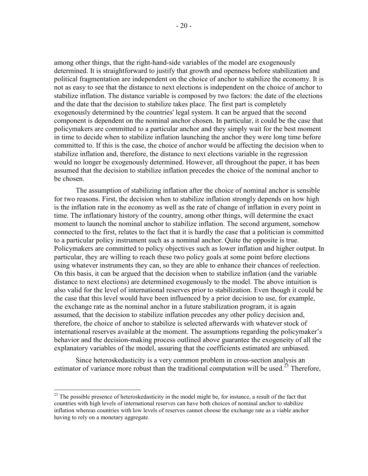among other things, that the right-hand-side variables of the model are exogenously determined. It is straightforward to justify that growth and openness before stabilization and political fragmentation are independent on the choice of anchor to stabilize the economy. It is not as easy to see that the distance to next elections is independent on the choice of anchor to stabilize inflation. The distance variable is composed by two factors: the date of the elections and the date that the decision to stabilize takes place. The first part is completely exogenously determined by the countries' legal system. It can be argued that the second component is dependent on the nominal anchor chosen. In particular, it could be the case that policymakers are committed to a particular anchor and they simply wait for the best moment in time to decide when to stabilize inflation launching the anchor they were long time before committed to. If this is the case, the choice of anchor would be affecting the decision when to stabilize inflation and, therefore, the distance to next elections variable in the regression would no longer be exogenously determined. However, all throughout the paper, it has been assumed that the decision to stabilize inflation precedes the choice of the nominal anchor to be chosen.

The assumption of stabilizing inflation after the choice of nominal anchor is sensible for two reasons. First, the decision when to stabilize inflation strongly depends on how high is the inflation rate in the economy as well as the rate of change of inflation in every point in time. The inflationary history of the country, among other things, will determine the exact moment to launch the nominal anchor to stabilize inflation. The second argument, somehow connected to the first, relates to the fact that it is hardly the case that a politician is committed to a particular policy instrument such as a nominal anchor. Quite the opposite is true. Policymakers are committed to policy objectives such as lower inflation and higher output. In particular, they are willing to reach these two policy goals at some point before elections using whatever instruments they can, so they are able to enhance their chances of reelection. On this basis, it can be argued that the decision when to stabilize inflation (and the variable distance to next elections) are determined exogenously to the model. The above intuition is also valid for the level of international reserves prior to stabilization. Even though it could be the case that this level would have been influenced by a prior decision to use, for example, the exchange rate as the nominal anchor in a future stabilization program, it is again assumed, that the decision to stabilize inflation precedes any other policy decision and, therefore, the choice of anchor to stabilize is selected afterwards with whatever stock of international reserves available at the moment. The assumptions regarding the policymaker's behavior and the decision-making process outlined above guarantee the exogeneity of all the explanatory variables of the model, assuring that the coefficients estimated are unbiased.

Since heteroskedasticity is a very common problem in cross-section analysis an estimator of variance more robust than the traditional computation will be used.<sup>23</sup> Therefore,

1

 $^{23}$  The possible presence of heteroskedasticity in the model might be, for instance, a result of the fact that countries with high levels of international reserves can have both choices of nominal anchor to stabilize inflation whereas countries with low levels of reserves cannot choose the exchange rate as a viable anchor having to rely on a monetary aggregate.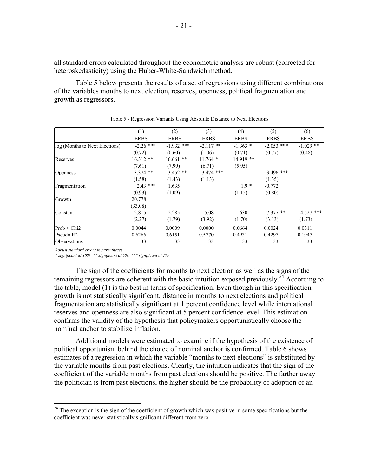all standard errors calculated throughout the econometric analysis are robust (corrected for heteroskedasticity) using the Huber-White-Sandwich method.

Table 5 below presents the results of a set of regressions using different combinations of the variables months to next election, reserves, openness, political fragmentation and growth as regressors.

|                                | (1)         | (2)          | (3)         | (4)         | (5)          | (6)         |
|--------------------------------|-------------|--------------|-------------|-------------|--------------|-------------|
|                                | <b>ERBS</b> | <b>ERBS</b>  | <b>ERBS</b> | <b>ERBS</b> | <b>ERBS</b>  | <b>ERBS</b> |
| log (Months to Next Elections) | $-2.26$ *** | $-1.932$ *** | $-2.117$ ** | $-1.363*$   | $-2.053$ *** | $-1.029$ ** |
|                                | (0.72)      | (0.60)       | (1.06)      | (0.71)      | (0.77)       | (0.48)      |
| Reserves                       | $16.312**$  | $16.661$ **  | $11.764*$   | $14.919**$  |              |             |
|                                | (7.61)      | (7.99)       | (6.71)      | (5.95)      |              |             |
| <b>Openness</b>                | $3.374$ **  | $3.452$ **   | $3.474$ *** |             | $3.496$ ***  |             |
|                                | (1.58)      | (1.43)       | (1.13)      |             | (1.35)       |             |
| Fragmentation                  | $2.43$ ***  | 1.635        |             | $1.9*$      | $-0.772$     |             |
|                                | (0.93)      | (1.09)       |             | (1.15)      | (0.80)       |             |
| Growth                         | 20.778      |              |             |             |              |             |
|                                | (33.08)     |              |             |             |              |             |
| Constant                       | 2.815       | 2.285        | 5.08        | 1.630       | $7.377**$    | $4.527$ *** |
|                                | (2.27)      | (1.79)       | (3.92)      | (1.70)      | (3.13)       | (1.73)      |
| Prob > Chi2                    | 0.0044      | 0.0009       | 0.0000      | 0.0664      | 0.0024       | 0.0311      |
| Pseudo R2                      | 0.6266      | 0.6151       | 0.5770      | 0.4931      | 0.4297       | 0.1947      |
| Observations                   | 33          | 33           | 33          | 33          | 33           | 33          |

| Table 5 - Regression Variants Using Absolute Distance to Next Elections |
|-------------------------------------------------------------------------|
|-------------------------------------------------------------------------|

*Robust standard errors in parentheses*

 $\overline{a}$ 

*\* significant at 10%; \*\* significant at 5%; \*\*\* significant at 1%*

The sign of the coefficients for months to next election as well as the signs of the remaining regressors are coherent with the basic intuition exposed previously.<sup>24</sup> According to the table, model (1) is the best in terms of specification. Even though in this specification growth is not statistically significant, distance in months to next elections and political fragmentation are statistically significant at 1 percent confidence level while international reserves and openness are also significant at 5 percent confidence level. This estimation confirms the validity of the hypothesis that policymakers opportunistically choose the nominal anchor to stabilize inflation.

Additional models were estimated to examine if the hypothesis of the existence of political opportunism behind the choice of nominal anchor is confirmed. Table 6 shows estimates of a regression in which the variable "months to next elections" is substituted by the variable months from past elections. Clearly, the intuition indicates that the sign of the coefficient of the variable months from past elections should be positive. The farther away the politician is from past elections, the higher should be the probability of adoption of an

 $24$  The exception is the sign of the coefficient of growth which was positive in some specifications but the coefficient was never statistically significant different from zero.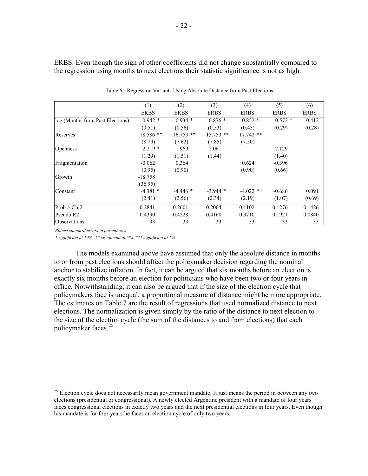ERBS. Even though the sign of other coefficients did not change substantially compared to the regression using months to next elections their statistic significance is not as high.

|                                  | (1)         | (2)         | (3)         | (4)         | (5)         | (6)         |
|----------------------------------|-------------|-------------|-------------|-------------|-------------|-------------|
|                                  | <b>ERBS</b> | <b>ERBS</b> | <b>ERBS</b> | <b>ERBS</b> | <b>ERBS</b> | <b>ERBS</b> |
| log (Months from Past Elections) | $0.942*$    | $0.934*$    | $0.876*$    | $0.852*$    | $0.572*$    | 0.412       |
|                                  | (0.51)      | (0.56)      | (0.53)      | (0.45)      | (0.29)      | (0.28)      |
| Reserves                         | 18.586 **   | $16.753$ ** | $15.753$ ** | $17.742$ ** |             |             |
|                                  | (8.79)      | (7.62)      | (7.85)      | (7.50)      |             |             |
| <b>Openness</b>                  | $2.219*$    | 1.969       | 2.061       |             | 2.129       |             |
|                                  | (1.29)      | (1.51)      | (1.44)      |             | (1.40)      |             |
| Fragmentation                    | $-0.062$    | 0.364       |             | 0.624       | $-0.396$    |             |
|                                  | (0.95)      | (0.90)      |             | (0.90)      | (0.66)      |             |
| Growth                           | $-18.758$   |             |             |             |             |             |
|                                  | (36.95)     |             |             |             |             |             |
| Constant                         | $-4.381*$   | $-4.446*$   | $-3.944*$   | $-4.022*$   | $-0.686$    | 0.091       |
|                                  | (2.41)      | (2.56)      | (2.34)      | (2.19)      | (1.07)      | (0.69)      |
| Prob > Chi2                      | 0.2841      | 0.2601      | 0.2004      | 0.1102      | 0.1276      | 0.1426      |
| Pseudo R2                        | 0.4390      | 0.4228      | 0.4168      | 0.3710      | 0.1921      | 0.0840      |
| <i><b>Observations</b></i>       | 33          | 33          | 33          | 33          | 33          | 33          |

Table 6 - Regression Variants Using Absolute Distance from Past Elections

*Robust standard errors in parentheses*

 $\overline{a}$ 

*\* significant at 10%; \*\* significant at 5%; \*\*\* significant at 1%*

The models examined above have assumed that only the absolute distance in months to or from past elections should affect the policymaker decision regarding the nominal anchor to stabilize inflation. In fact, it can be argued that six months before an election is exactly six months before an election for politicians who have been two or four years in office. Notwithstanding, it can also be argued that if the size of the election cycle that policymakers face is unequal, a proportional measure of distance might be more appropriate. The estimates on Table 7 are the result of regressions that used normalized distance to next elections. The normalization is given simply by the ratio of the distance to next election to the size of the election cycle (the sum of the distances to and from elections) that each policymaker faces.<sup>25</sup>

<sup>&</sup>lt;sup>25</sup> Election cycle does not necessarily mean government mandate. It just means the period in between any two elections (presidential or congressional). A newly elected Argentine president with a mandate of four years faces congressional elections in exactly two years and the next presidential elections in four years. Even though his mandate is for four years he faces an election cycle of only two years.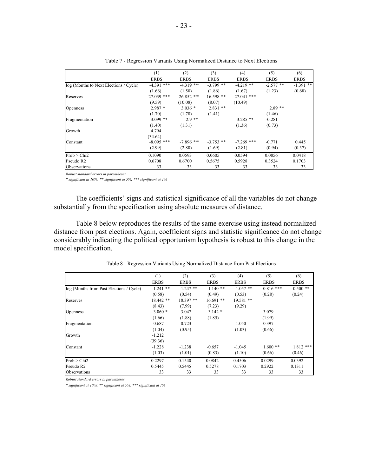|                                        | (1)          | (2)          | (3)         | (4)          | (5)         | (6)         |
|----------------------------------------|--------------|--------------|-------------|--------------|-------------|-------------|
|                                        | <b>ERBS</b>  | <b>ERBS</b>  | <b>ERBS</b> | <b>ERBS</b>  | <b>ERBS</b> | <b>ERBS</b> |
| log (Months to Next Elections / Cycle) | $-4.391$ *** | $-4.319$ *** | $-3.799$ ** | $-4.219$ **  | $-2.577$ ** | $-1.391$ ** |
|                                        | (1.66)       | (1.50)       | (1.86)      | (1.67)       | (1.23)      | (0.68)      |
| Reserves                               | $27.039$ *** | $26.852$ *** | $16.598$ ** | 27.041 ***   |             |             |
|                                        | (9.59)       | (10.08)      | (8.07)      | (10.49)      |             |             |
| <b>Openness</b>                        | $2.987*$     | $3.036*$     | $2.831$ **  |              | $2.89**$    |             |
|                                        | (1.70)       | (1.78)       | (1.41)      |              | (1.46)      |             |
| Fragmentation                          | $3.099$ **   | $2.9**$      |             | $3.285$ **   | $-0.281$    |             |
|                                        | (1.40)       | (1.31)       |             | (1.36)       | (0.73)      |             |
| Growth                                 | 4.794        |              |             |              |             |             |
|                                        | (34.64)      |              |             |              |             |             |
| Constant                               | $-8.095$ *** | $-7.896$ *** | $-3.753$ ** | $-7.269$ *** | $-0.771$    | 0.445       |
|                                        | (2.99)       | (2.80)       | (1.69)      | (2.81)       | (0.94)      | (0.37)      |
| Prob > Chi2                            | 0.1090       | 0.0593       | 0.0605      | 0.0594       | 0.0856      | 0.0418      |
| Pseudo R2                              | 0.6708       | 0.6700       | 0.5675      | 0.5928       | 0.3524      | 0.1703      |
| Observations                           | 33           | 33           | 33          | 33           | 33          | 33          |

| Table 7 - Regression Variants Using Normalized Distance to Next Elections |  |  |
|---------------------------------------------------------------------------|--|--|
|                                                                           |  |  |

*Robust standard errors in parentheses*

*\* significant at 10%; \*\* significant at 5%; \*\*\* significant at 1%*

The coefficients' signs and statistical significance of all the variables do not change substantially from the specification using absolute measures of distance.

Table 8 below reproduces the results of the same exercise using instead normalized distance from past elections. Again, coefficient signs and statistic significance do not change considerably indicating the political opportunism hypothesis is robust to this change in the model specification.

|                                          | (1)         | (2)         | (3)         | (4)         | (5)         | (6)         |
|------------------------------------------|-------------|-------------|-------------|-------------|-------------|-------------|
|                                          | <b>ERBS</b> | <b>ERBS</b> | <b>ERBS</b> | <b>ERBS</b> | <b>ERBS</b> | <b>ERBS</b> |
| log (Months from Past Elections / Cycle) | $1.241$ **  | $1.247$ **  | $1.140**$   | $1.057$ **  | $0.816$ *** | $0.500$ **  |
|                                          | (0.58)      | (0.54)      | (0.49)      | (0.53)      | (0.28)      | (0.24)      |
| Reserves                                 | $18.442**$  | 18.397 **   | $16.691$ ** | $19.581$ ** |             |             |
|                                          | (8.43)      | (7.99)      | (7.23)      | (9.29)      |             |             |
| <b>Openness</b>                          | $3.060*$    | 3.047       | $3.142*$    |             | 3.079       |             |
|                                          | (1.66)      | (1.88)      | (1.85)      |             | (1.99)      |             |
| Fragmentation                            | 0.687       | 0.723       |             | 1.050       | $-0.397$    |             |
|                                          | (1.04)      | (0.95)      |             | (1.03)      | (0.66)      |             |
| Growth                                   | $-1.212$    |             |             |             |             |             |
|                                          | (39.36)     |             |             |             |             |             |
| Constant                                 | $-1.228$    | $-1.238$    | $-0.657$    | $-1.045$    | $1.600**$   | $1.812$ *** |
|                                          | (1.03)      | (1.01)      | (0.83)      | (1.10)      | (0.66)      | (0.46)      |
| Prob > Chi2                              | 0.2297      | 0.1540      | 0.0842      | 0.4506      | 0.0299      | 0.0392      |
| Pseudo R2                                | 0.5445      | 0.5445      | 0.5278      | 0.1703      | 0.2922      | 0.1311      |
| Observations                             | 33          | 33          | 33          | 33          | 33          | 33          |

Table 8 - Regression Variants Using Normalized Distance from Past Elections

*Robust standard errors in parentheses*

*\* significant at 10%; \*\* significant at 5%; \*\*\* significant at 1%*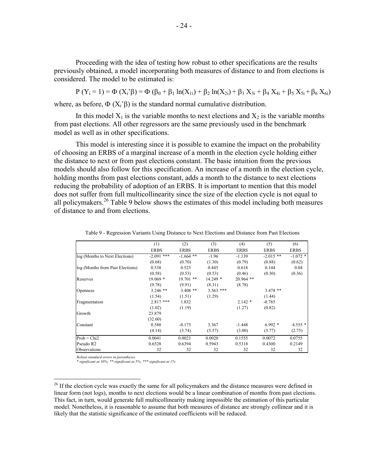Proceeding with the idea of testing how robust to other specifications are the results previously obtained, a model incorporating both measures of distance to and from elections is considered. The model to be estimated is:

P (Y<sub>i</sub> = 1) = Φ (X<sub>i</sub>'β) = Φ (β<sub>0</sub> + β<sub>1</sub> ln(X<sub>1i</sub>) + β<sub>2</sub> ln(X<sub>2i</sub>) + β<sub>3</sub> X<sub>3i</sub> + β<sub>4</sub> X<sub>4i</sub> + β<sub>5</sub> X<sub>5i</sub> + β<sub>6</sub> X<sub>6i</sub>) where, as before,  $\Phi(X_i)$  is the standard normal cumulative distribution.

In this model  $X_1$  is the variable months to next elections and  $X_2$  is the variable months from past elections. All other regressors are the same previously used in the benchmark model as well as in other specifications.

This model is interesting since it is possible to examine the impact on the probability of choosing an ERBS of a marginal increase of a month in the election cycle holding either the distance to next or from past elections constant. The basic intuition from the previous models should also follow for this specification. An increase of a month in the election cycle, holding months from past elections constant, adds a month to the distance to next elections reducing the probability of adoption of an ERBS. It is important to mention that this model does not suffer from full multicollinearity since the size of the election cycle is not equal to all policymakers.<sup>26</sup> Table 9 below shows the estimates of this model including both measures of distance to and from elections.

|                                  | (1)          | (2)         | (3)         | (4)         | (5)         | (6)         |
|----------------------------------|--------------|-------------|-------------|-------------|-------------|-------------|
|                                  | <b>ERBS</b>  | <b>ERBS</b> | <b>ERBS</b> | <b>ERBS</b> | <b>ERBS</b> | <b>ERBS</b> |
| log (Months to Next Elections)   | $-2.091$ *** | $-1.664$ ** | $-1.96$     | $-1.139$    | $-2.015$ ** | $-1.072$ *  |
|                                  | (0.68)       | (0.70)      | (1.30)      | (0.79)      | (0.88)      | (0.62)      |
| log (Months from Past Elections) | 0.538        | 0.525       | 0.445       | 0.618       | 0.144       | 0.04        |
|                                  | (0.58)       | (0.53)      | (0.53)      | (0.46)      | (0.30)      | (0.36)      |
| Reserves                         | $19.069*$    | $19.701$ ** | $14.249*$   | $20.964$ ** |             |             |
|                                  | (9.78)       | (9.91)      | (8.31)      | (8.78)      |             |             |
| <b>Openness</b>                  | $3.246$ **   | $3.408$ **  | $3.563$ *** |             | $3.478**$   |             |
|                                  | (1.54)       | (1.51)      | (1.29)      |             | (1.44)      |             |
| Fragmentation                    | $2.817$ ***  | 1.832       |             | $2.142*$    | $-0.785$    |             |
|                                  | (1.02)       | (1.19)      |             | (1.27)      | (0.82)      |             |
| Growth                           | 23.879       |             |             |             |             |             |
|                                  | (32.60)      |             |             |             |             |             |
| Constant                         | 0.588        | $-0.175$    | 3.367       | $-1.448$    | $6.992*$    | $4.555*$    |
|                                  | (4.14)       | (3.74)      | (5.57)      | (3.00)      | (3.77)      | (2.75)      |
| Prob > Chi2                      | 0.0041       | 0.0023      | 0.0020      | 0.1555      | 0.0072      | 0.0755      |
| Pseudo R2                        | 0.6528       | 0.6394      | 0.5943      | 0.5318      | 0.4300      | 0.2149      |
| Observations                     | 32           | 32          | 32          | 32          | 32          | 32          |

Table 9 - Regression Variants Using Distance to Next Elections and Distance from Past Elections

*Robust standard errors in parentheses*

<u>.</u>

*\* significant at 10%; \*\* significant at 5%; \*\*\* significant at 1%*

<sup>&</sup>lt;sup>26</sup> If the election cycle was exactly the same for all policymakers and the distance measures were defined in linear form (not logs), months to next elections would be a linear combination of months from past elections. This fact, in turn, would generate full multicollinearity making impossible the estimation of this particular model. Nonetheless, it is reasonable to assume that both measures of distance are strongly collinear and it is likely that the statistic significance of the estimated coefficients will be reduced.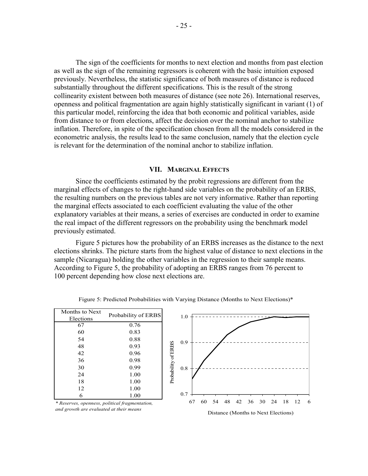The sign of the coefficients for months to next election and months from past election as well as the sign of the remaining regressors is coherent with the basic intuition exposed previously. Nevertheless, the statistic significance of both measures of distance is reduced substantially throughout the different specifications. This is the result of the strong collinearity existent between both measures of distance (see note 26). International reserves, openness and political fragmentation are again highly statistically significant in variant (1) of this particular model, reinforcing the idea that both economic and political variables, aside from distance to or from elections, affect the decision over the nominal anchor to stabilize inflation. Therefore, in spite of the specification chosen from all the models considered in the econometric analysis, the results lead to the same conclusion, namely that the election cycle is relevant for the determination of the nominal anchor to stabilize inflation.

#### **VII. MARGINAL EFFECTS**

Since the coefficients estimated by the probit regressions are different from the marginal effects of changes to the right-hand side variables on the probability of an ERBS, the resulting numbers on the previous tables are not very informative. Rather than reporting the marginal effects associated to each coefficient evaluating the value of the other explanatory variables at their means, a series of exercises are conducted in order to examine the real impact of the different regressors on the probability using the benchmark model previously estimated.

Figure 5 pictures how the probability of an ERBS increases as the distance to the next elections shrinks. The picture starts from the highest value of distance to next elections in the sample (Nicaragua) holding the other variables in the regression to their sample means. According to Figure 5, the probability of adopting an ERBS ranges from 76 percent to 100 percent depending how close next elections are.

| Months to Next | Probability of ERBS |  |  |  |  |  |
|----------------|---------------------|--|--|--|--|--|
| Elections      |                     |  |  |  |  |  |
| 67             | 0.76                |  |  |  |  |  |
| 60             | 0.83                |  |  |  |  |  |
| 54             | 0.88                |  |  |  |  |  |
| 48             | 0.93                |  |  |  |  |  |
| 42             | 0.96                |  |  |  |  |  |
| 36             | 0.98                |  |  |  |  |  |
| 30             | 0.99                |  |  |  |  |  |
| 24             | 1.00                |  |  |  |  |  |
| 18             | 1.00                |  |  |  |  |  |
| 12             | 1.00                |  |  |  |  |  |
| 6              | 1.00                |  |  |  |  |  |

Figure 5: Predicted Probabilities with Varying Distance (Months to Next Elections)\*



*\* Reserves, openness, political fragmentation, and growth are evaluated at their means*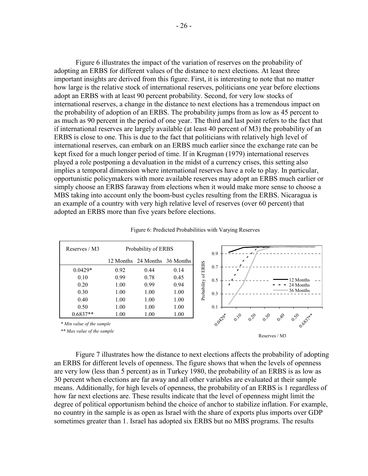Figure 6 illustrates the impact of the variation of reserves on the probability of adopting an ERBS for different values of the distance to next elections. At least three important insights are derived from this figure. First, it is interesting to note that no matter how large is the relative stock of international reserves, politicians one year before elections adopt an ERBS with at least 90 percent probability. Second, for very low stocks of international reserves, a change in the distance to next elections has a tremendous impact on the probability of adoption of an ERBS. The probability jumps from as low as 45 percent to as much as 90 percent in the period of one year. The third and last point refers to the fact that if international reserves are largely available (at least 40 percent of M3) the probability of an ERBS is close to one. This is due to the fact that politicians with relatively high level of international reserves, can embark on an ERBS much earlier since the exchange rate can be kept fixed for a much longer period of time. If in Krugman (1979) international reserves played a role postponing a devaluation in the midst of a currency crises, this setting also implies a temporal dimension where international reserves have a role to play. In particular, opportunistic policymakers with more available reserves may adopt an ERBS much earlier or simply choose an ERBS faraway from elections when it would make more sense to choose a MBS taking into account only the boom-bust cycles resulting from the ERBS. Nicaragua is an example of a country with very high relative level of reserves (over 60 percent) that adopted an ERBS more than five years before elections.

| Reserves / M3             |           | Probability of ERBS |                     |             | 0.9                                                                                                                                                   |
|---------------------------|-----------|---------------------|---------------------|-------------|-------------------------------------------------------------------------------------------------------------------------------------------------------|
|                           | 12 Months |                     | 24 Months 36 Months |             |                                                                                                                                                       |
| $0.0429*$                 | 0.92      | 0.44                | 0.14                | of ERBS     | 0.7<br>ø                                                                                                                                              |
| 0.10                      | 0.99      | 0.78                | 0.45                |             | 12 Months<br>0.5                                                                                                                                      |
| 0.20                      | 1.00      | 0.99                | 0.94                |             | 24 Months<br>I<br>-                                                                                                                                   |
| 0.30                      | 1.00      | 1.00                | 1.00                | Probability | 36 Months<br>0.3                                                                                                                                      |
| 0.40                      | 1.00      | 1.00                | 1.00                |             |                                                                                                                                                       |
| 0.50                      | 1.00      | 1.00                | 1.00                |             | 0.1                                                                                                                                                   |
| $0.6837**$                | 1.00      | 1.00                | 1.00                |             | $\mathscr{O}_{\mathscr{O}}$<br>$\mathcal{O}_{\mathcal{P}}$<br>$\sigma_{\mathcal{P}}$<br>$\sigma_{\hat{\nu}_{\cal{O}}}$<br>$\mathscr{S}_{\mathcal{O}}$ |
| * Min value of the sample |           |                     |                     |             | 0.0420*<br>0.6837**                                                                                                                                   |

|  |  |  | Figure 6: Predicted Probabilities with Varying Reserves |  |  |  |
|--|--|--|---------------------------------------------------------|--|--|--|
|--|--|--|---------------------------------------------------------|--|--|--|

*\*\* Max value of the sample*

Reserves / M3

Figure 7 illustrates how the distance to next elections affects the probability of adopting an ERBS for different levels of openness. The figure shows that when the levels of openness are very low (less than 5 percent) as in Turkey 1980, the probability of an ERBS is as low as 30 percent when elections are far away and all other variables are evaluated at their sample means. Additionally, for high levels of openness, the probability of an ERBS is 1 regardless of how far next elections are. These results indicate that the level of openness might limit the degree of political opportunism behind the choice of anchor to stabilize inflation. For example, no country in the sample is as open as Israel with the share of exports plus imports over GDP sometimes greater than 1. Israel has adopted six ERBS but no MBS programs. The results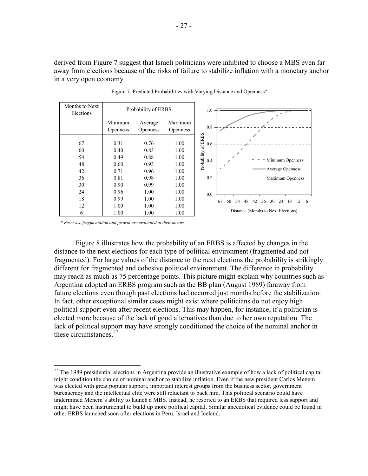derived from Figure 7 suggest that Israeli politicians were inhibited to choose a MBS even far away from elections because of the risks of failure to stabilize inflation with a monetary anchor in a very open economy.



Figure 7: Predicted Probabilities with Varying Distance and Openness\*

*\* Reserves, fragmentation and growth are evaluated at their means*

 $\overline{a}$ 

Figure 8 illustrates how the probability of an ERBS is affected by changes in the distance to the next elections for each type of political environment (fragmented and not fragmented). For large values of the distance to the next elections the probability is strikingly different for fragmented and cohesive political environment. The difference in probability may reach as much as 75 percentage points. This picture might explain why countries such as Argentina adopted an ERBS program such as the BB plan (August 1989) faraway from future elections even though past elections had occurred just months before the stabilization. In fact, other exceptional similar cases might exist where politicians do not enjoy high political support even after recent elections. This may happen, for instance, if a politician is elected more because of the lack of good alternatives than due to her own reputation. The lack of political support may have strongly conditioned the choice of the nominal anchor in these circumstances.<sup>27</sup>

 $27$  The 1989 presidential elections in Argentina provide an illustrative example of how a lack of political capital might condition the choice of nominal anchor to stabilize inflation. Even if the new president Carlos Menem was elected with great popular support, important interest groups from the business sector, government bureaucracy and the intellectual elite were still reluctant to back him. This political scenario could have undermined Menem's ability to launch a MBS. Instead, he resorted to an ERBS that required less support and might have been instrumental to build up more political capital. Similar anecdotical evidence could be found in other ERBS launched soon after elections in Peru, Israel and Iceland.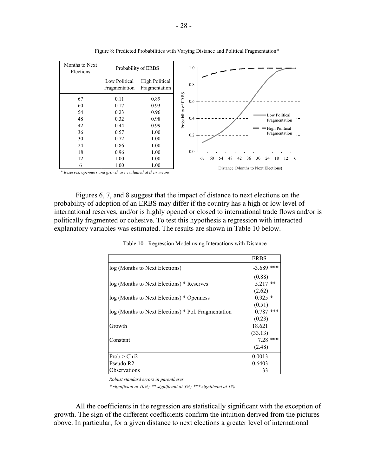| Months to Next<br>Elections                                  |                                | Probability of ERBS                    |                     | 1.0 |    |    |    |    |                                     |    |    |    |    |                 |    |
|--------------------------------------------------------------|--------------------------------|----------------------------------------|---------------------|-----|----|----|----|----|-------------------------------------|----|----|----|----|-----------------|----|
|                                                              | Low Political<br>Fragmentation | <b>High Political</b><br>Fragmentation |                     | 0.8 |    |    |    |    |                                     |    |    |    |    |                 |    |
| 67                                                           | 0.11                           | 0.89                                   | Probability of ERBS | 0.6 |    |    |    |    |                                     |    |    |    |    |                 |    |
| 60                                                           | 0.17                           | 0.93                                   |                     |     |    |    |    |    |                                     |    |    |    |    |                 |    |
| 54                                                           | 0.23                           | 0.96                                   |                     |     |    |    |    |    |                                     |    |    |    |    | Low Political   |    |
| 48                                                           | 0.32                           | 0.98                                   |                     | 0.4 |    |    |    |    |                                     |    |    |    |    | Fragmentation   |    |
| 42                                                           | 0.44                           | 0.99                                   |                     |     |    |    |    |    |                                     |    |    |    |    | -High Political |    |
| 36                                                           | 0.57                           | 1.00                                   |                     | 0.2 |    |    |    |    |                                     |    |    |    |    | Fragmentation   |    |
| 30                                                           | 0.72                           | 1.00                                   |                     |     |    |    |    |    |                                     |    |    |    |    |                 |    |
| 24                                                           | 0.86                           | 1.00                                   |                     |     |    |    |    |    |                                     |    |    |    |    |                 |    |
| 18                                                           | 0.96                           | 1.00                                   |                     | 0.0 |    |    |    |    |                                     |    |    |    |    |                 |    |
| 12                                                           | 1.00                           | 1.00                                   |                     |     | 67 | 60 | 54 | 48 | 42                                  | 36 | 30 | 24 | 18 | 12              | -6 |
| 6                                                            | 1.00                           | 1.00                                   |                     |     |    |    |    |    | Distance (Months to Next Elections) |    |    |    |    |                 |    |
| * Reserves, openness and growth are evaluated at their means |                                |                                        |                     |     |    |    |    |    |                                     |    |    |    |    |                 |    |

Figure 8: Predicted Probabilities with Varying Distance and Political Fragmentation\*

Figures 6, 7, and 8 suggest that the impact of distance to next elections on the probability of adoption of an ERBS may differ if the country has a high or low level of international reserves, and/or is highly opened or closed to international trade flows and/or is politically fragmented or cohesive. To test this hypothesis a regression with interacted explanatory variables was estimated. The results are shown in Table 10 below.

|                                                     | ERBS         |
|-----------------------------------------------------|--------------|
| log (Months to Next Elections)                      | $-3.689$ *** |
|                                                     | (0.88)       |
| log (Months to Next Elections) * Reserves           | $5.217**$    |
|                                                     | (2.62)       |
| log (Months to Next Elections) * Openness           | $0.925*$     |
|                                                     | (0.51)       |
| log (Months to Next Elections) * Pol. Fragmentation | $0.787$ ***  |
|                                                     | (0.23)       |
| Growth                                              | 18.621       |
|                                                     | (33.13)      |
| Constant                                            | $7.28$ ***   |
|                                                     | (2.48)       |
| Prob > Chi2                                         | 0.0013       |
| Pseudo R2                                           | 0.6403       |
| Observations                                        | 33           |

Table 10 - Regression Model using Interactions with Distance

*Robust standard errors in parentheses*

*\* significant at 10%; \*\* significant at 5%; \*\*\* significant at 1%*

All the coefficients in the regression are statistically significant with the exception of growth. The sign of the different coefficients confirm the intuition derived from the pictures above. In particular, for a given distance to next elections a greater level of international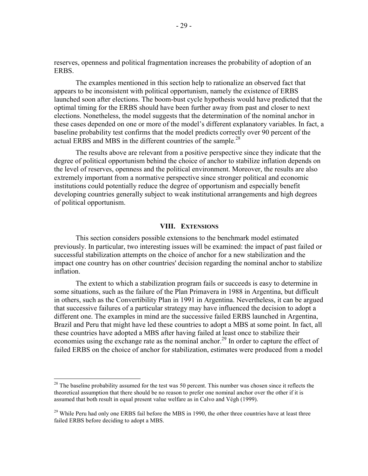reserves, openness and political fragmentation increases the probability of adoption of an **ERBS** 

The examples mentioned in this section help to rationalize an observed fact that appears to be inconsistent with political opportunism, namely the existence of ERBS launched soon after elections. The boom-bust cycle hypothesis would have predicted that the optimal timing for the ERBS should have been further away from past and closer to next elections. Nonetheless, the model suggests that the determination of the nominal anchor in these cases depended on one or more of the model's different explanatory variables. In fact, a baseline probability test confirms that the model predicts correctly over 90 percent of the actual ERBS and MBS in the different countries of the sample.<sup>28</sup>

The results above are relevant from a positive perspective since they indicate that the degree of political opportunism behind the choice of anchor to stabilize inflation depends on the level of reserves, openness and the political environment. Moreover, the results are also extremely important from a normative perspective since stronger political and economic institutions could potentially reduce the degree of opportunism and especially benefit developing countries generally subject to weak institutional arrangements and high degrees of political opportunism.

#### **VIII. EXTENSIONS**

This section considers possible extensions to the benchmark model estimated previously. In particular, two interesting issues will be examined: the impact of past failed or successful stabilization attempts on the choice of anchor for a new stabilization and the impact one country has on other countries' decision regarding the nominal anchor to stabilize inflation.

The extent to which a stabilization program fails or succeeds is easy to determine in some situations, such as the failure of the Plan Primavera in 1988 in Argentina, but difficult in others, such as the Convertibility Plan in 1991 in Argentina. Nevertheless, it can be argued that successive failures of a particular strategy may have influenced the decision to adopt a different one. The examples in mind are the successive failed ERBS launched in Argentina, Brazil and Peru that might have led these countries to adopt a MBS at some point. In fact, all these countries have adopted a MBS after having failed at least once to stabilize their economies using the exchange rate as the nominal anchor.<sup>29</sup> In order to capture the effect of failed ERBS on the choice of anchor for stabilization, estimates were produced from a model

 $\overline{a}$ 

 $28$  The baseline probability assumed for the test was 50 percent. This number was chosen since it reflects the theoretical assumption that there should be no reason to prefer one nominal anchor over the other if it is assumed that both result in equal present value welfare as in Calvo and Végh (1999).

<sup>&</sup>lt;sup>29</sup> While Peru had only one ERBS fail before the MBS in 1990, the other three countries have at least three failed ERBS before deciding to adopt a MBS.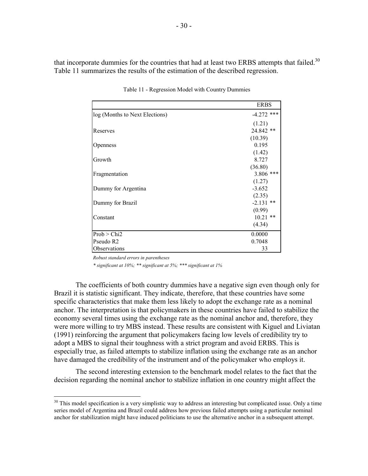that incorporate dummies for the countries that had at least two ERBS attempts that failed. $30$ Table 11 summarizes the results of the estimation of the described regression.

|                                | <b>ERBS</b>  |
|--------------------------------|--------------|
| log (Months to Next Elections) | $-4.272$ *** |
|                                | (1.21)       |
| Reserves                       | 24.842 **    |
|                                | (10.39)      |
| <b>Openness</b>                | 0.195        |
|                                | (1.42)       |
| Growth                         | 8.727        |
|                                | (36.80)      |
| Fragmentation                  | 3.806 ***    |
|                                | (1.27)       |
| Dummy for Argentina            | $-3.652$     |
|                                | (2.35)       |
| Dummy for Brazil               | $-2.131$ **  |
|                                | (0.99)       |
| Constant                       | $10.21$ **   |
|                                | (4.34)       |
| Prob > Chi2                    | 0.0000       |
| Pseudo R2                      | 0.7048       |
| Observations                   | 33           |

Table 11 - Regression Model with Country Dummies

*Robust standard errors in parentheses*

1

*\* significant at 10%; \*\* significant at 5%; \*\*\* significant at 1%*

The coefficients of both country dummies have a negative sign even though only for Brazil it is statistic significant. They indicate, therefore, that these countries have some specific characteristics that make them less likely to adopt the exchange rate as a nominal anchor. The interpretation is that policymakers in these countries have failed to stabilize the economy several times using the exchange rate as the nominal anchor and, therefore, they were more willing to try MBS instead. These results are consistent with Kiguel and Liviatan (1991) reinforcing the argument that policymakers facing low levels of credibility try to adopt a MBS to signal their toughness with a strict program and avoid ERBS. This is especially true, as failed attempts to stabilize inflation using the exchange rate as an anchor have damaged the credibility of the instrument and of the policymaker who employs it.

The second interesting extension to the benchmark model relates to the fact that the decision regarding the nominal anchor to stabilize inflation in one country might affect the

<sup>&</sup>lt;sup>30</sup> This model specification is a very simplistic way to address an interesting but complicated issue. Only a time series model of Argentina and Brazil could address how previous failed attempts using a particular nominal anchor for stabilization might have induced politicians to use the alternative anchor in a subsequent attempt.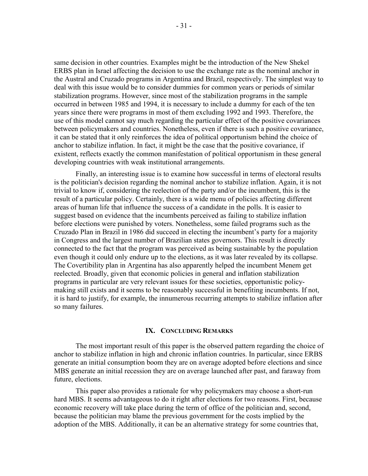same decision in other countries. Examples might be the introduction of the New Shekel ERBS plan in Israel affecting the decision to use the exchange rate as the nominal anchor in the Austral and Cruzado programs in Argentina and Brazil, respectively. The simplest way to deal with this issue would be to consider dummies for common years or periods of similar stabilization programs. However, since most of the stabilization programs in the sample occurred in between 1985 and 1994, it is necessary to include a dummy for each of the ten years since there were programs in most of them excluding 1992 and 1993. Therefore, the use of this model cannot say much regarding the particular effect of the positive covariances between policymakers and countries. Nonetheless, even if there is such a positive covariance, it can be stated that it only reinforces the idea of political opportunism behind the choice of anchor to stabilize inflation. In fact, it might be the case that the positive covariance, if existent, reflects exactly the common manifestation of political opportunism in these general developing countries with weak institutional arrangements.

Finally, an interesting issue is to examine how successful in terms of electoral results is the politician's decision regarding the nominal anchor to stabilize inflation. Again, it is not trivial to know if, considering the reelection of the party and/or the incumbent, this is the result of a particular policy. Certainly, there is a wide menu of policies affecting different areas of human life that influence the success of a candidate in the polls. It is easier to suggest based on evidence that the incumbents perceived as failing to stabilize inflation before elections were punished by voters. Nonetheless, some failed programs such as the Cruzado Plan in Brazil in 1986 did succeed in electing the incumbent's party for a majority in Congress and the largest number of Brazilian states governors. This result is directly connected to the fact that the program was perceived as being sustainable by the population even though it could only endure up to the elections, as it was later revealed by its collapse. The Covertibility plan in Argentina has also apparently helped the incumbent Menem get reelected. Broadly, given that economic policies in general and inflation stabilization programs in particular are very relevant issues for these societies, opportunistic policymaking still exists and it seems to be reasonably successful in benefiting incumbents. If not, it is hard to justify, for example, the innumerous recurring attempts to stabilize inflation after so many failures.

#### **IX. CONCLUDING REMARKS**

The most important result of this paper is the observed pattern regarding the choice of anchor to stabilize inflation in high and chronic inflation countries. In particular, since ERBS generate an initial consumption boom they are on average adopted before elections and since MBS generate an initial recession they are on average launched after past, and faraway from future, elections.

This paper also provides a rationale for why policymakers may choose a short-run hard MBS. It seems advantageous to do it right after elections for two reasons. First, because economic recovery will take place during the term of office of the politician and, second, because the politician may blame the previous government for the costs implied by the adoption of the MBS. Additionally, it can be an alternative strategy for some countries that,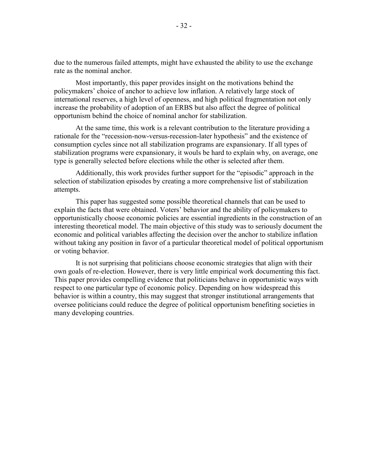due to the numerous failed attempts, might have exhausted the ability to use the exchange rate as the nominal anchor.

Most importantly, this paper provides insight on the motivations behind the policymakers' choice of anchor to achieve low inflation. A relatively large stock of international reserves, a high level of openness, and high political fragmentation not only increase the probability of adoption of an ERBS but also affect the degree of political opportunism behind the choice of nominal anchor for stabilization.

At the same time, this work is a relevant contribution to the literature providing a rationale for the "recession-now-versus-recession-later hypothesis" and the existence of consumption cycles since not all stabilization programs are expansionary. If all types of stabilization programs were expansionary, it wouls be hard to explain why, on average, one type is generally selected before elections while the other is selected after them.

Additionally, this work provides further support for the "episodic" approach in the selection of stabilization episodes by creating a more comprehensive list of stabilization attempts.

This paper has suggested some possible theoretical channels that can be used to explain the facts that were obtained. Voters' behavior and the ability of policymakers to opportunistically choose economic policies are essential ingredients in the construction of an interesting theoretical model. The main objective of this study was to seriously document the economic and political variables affecting the decision over the anchor to stabilize inflation without taking any position in favor of a particular theoretical model of political opportunism or voting behavior.

It is not surprising that politicians choose economic strategies that align with their own goals of re-election. However, there is very little empirical work documenting this fact. This paper provides compelling evidence that politicians behave in opportunistic ways with respect to one particular type of economic policy. Depending on how widespread this behavior is within a country, this may suggest that stronger institutional arrangements that oversee politicians could reduce the degree of political opportunism benefiting societies in many developing countries.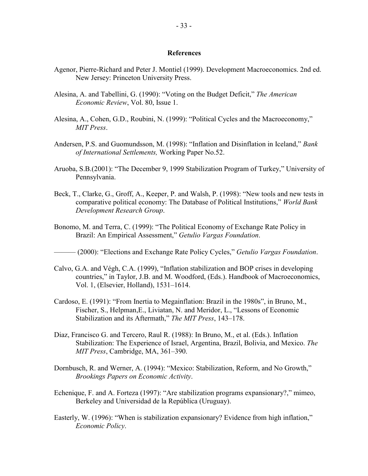## **References**

- Agenor, Pierre-Richard and Peter J. Montiel (1999). Development Macroeconomics. 2nd ed. New Jersey: Princeton University Press.
- Alesina, A. and Tabellini, G. (1990): "Voting on the Budget Deficit," *The American Economic Review*, Vol. 80, Issue 1.
- Alesina, A., Cohen, G.D., Roubini, N. (1999): "Political Cycles and the Macroeconomy," *MIT Press*.
- Andersen, P.S. and Guomundsson, M. (1998): "Inflation and Disinflation in Iceland," *Bank of International Settlements,* Working Paper No.52.
- Aruoba, S.B.(2001): "The December 9, 1999 Stabilization Program of Turkey," University of Pennsylvania.
- Beck, T., Clarke, G., Groff, A., Keeper, P. and Walsh, P. (1998): "New tools and new tests in comparative political economy: The Database of Political Institutions," *World Bank Development Research Group*.
- Bonomo, M. and Terra, C. (1999): "The Political Economy of Exchange Rate Policy in Brazil: An Empirical Assessment," *Getulio Vargas Foundation*.

——— (2000): "Elections and Exchange Rate Policy Cycles," *Getulio Vargas Foundation*.

- Calvo, G.A. and Végh, C.A. (1999), "Inflation stabilization and BOP crises in developing countries," in Taylor, J.B. and M. Woodford, (Eds.). Handbook of Macroeconomics, Vol. 1, (Elsevier, Holland), 1531–1614.
- Cardoso, E. (1991): "From Inertia to Megainflation: Brazil in the 1980s", in Bruno, M., Fischer, S., Helpman,E., Liviatan, N. and Meridor, L., "Lessons of Economic Stabilization and its Aftermath," *The MIT Press*, 143–178.
- Diaz, Francisco G. and Tercero, Raul R. (1988): In Bruno, M., et al. (Eds.). Inflation Stabilization: The Experience of Israel, Argentina, Brazil, Bolivia, and Mexico. *The MIT Press*, Cambridge, MA, 361–390.
- Dornbusch, R. and Werner, A. (1994): "Mexico: Stabilization, Reform, and No Growth," *Brookings Papers on Economic Activity*.
- Echenique, F. and A. Forteza (1997): "Are stabilization programs expansionary?," mimeo, Berkeley and Universidad de la República (Uruguay).
- Easterly, W. (1996): "When is stabilization expansionary? Evidence from high inflation," *Economic Policy*.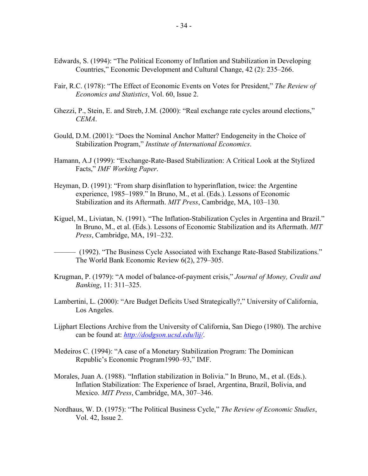- Edwards, S. (1994): "The Political Economy of Inflation and Stabilization in Developing Countries," Economic Development and Cultural Change, 42 (2): 235–266.
- Fair, R.C. (1978): "The Effect of Economic Events on Votes for President," *The Review of Economics and Statistics*, Vol. 60, Issue 2.
- Ghezzi, P., Stein, E. and Streb, J.M. (2000): "Real exchange rate cycles around elections," *CEMA*.
- Gould, D.M. (2001): "Does the Nominal Anchor Matter? Endogeneity in the Choice of Stabilization Program," *Institute of International Economics*.
- Hamann, A.J (1999): "Exchange-Rate-Based Stabilization: A Critical Look at the Stylized Facts," *IMF Working Paper*.
- Heyman, D. (1991): "From sharp disinflation to hyperinflation, twice: the Argentine experience, 1985–1989." In Bruno, M., et al. (Eds.). Lessons of Economic Stabilization and its Aftermath. *MIT Press*, Cambridge, MA, 103–130.
- Kiguel, M., Liviatan, N. (1991). "The Inflation-Stabilization Cycles in Argentina and Brazil." In Bruno, M., et al. (Eds.). Lessons of Economic Stabilization and its Aftermath. *MIT Press*, Cambridge, MA, 191–232.
- (1992). "The Business Cycle Associated with Exchange Rate-Based Stabilizations." The World Bank Economic Review 6(2), 279–305.
- Krugman, P. (1979): "A model of balance-of-payment crisis," *Journal of Money, Credit and Banking*, 11: 311–325.
- Lambertini, L. (2000): "Are Budget Deficits Used Strategically?," University of California, Los Angeles.
- Lijphart Elections Archive from the University of California, San Diego (1980). The archive can be found at: *<http://dodgson.ucsd.edu/lij/>*.
- Medeiros C. (1994): "A case of a Monetary Stabilization Program: The Dominican Republic's Economic Program1990–93," IMF.
- Morales, Juan A. (1988). "Inflation stabilization in Bolivia." In Bruno, M., et al. (Eds.). Inflation Stabilization: The Experience of Israel, Argentina, Brazil, Bolivia, and Mexico. *MIT Press*, Cambridge, MA, 307–346.
- Nordhaus, W. D. (1975): "The Political Business Cycle," *The Review of Economic Studies*, Vol. 42, Issue 2.